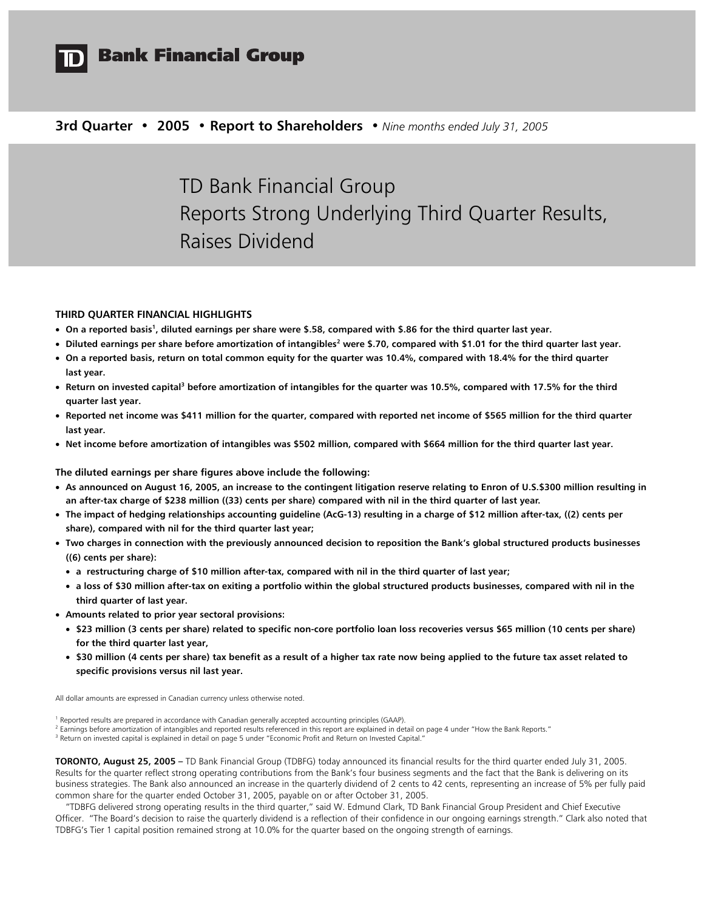

## **Bank Financial Group**

### **3rd Quarter • 2005 • Report to Shareholders •** *Nine months ended July 31, 2005*

# TD Bank Financial Group Reports Strong Underlying Third Quarter Results, Raises Dividend

### **THIRD QUARTER FINANCIAL HIGHLIGHTS**

- **On a reported basis1 , diluted earnings per share were \$.58, compared with \$.86 for the third quarter last year.**
- Diluted earnings per share before amortization of intangibles<sup>2</sup> were \$.70, compared with \$1.01 for the third quarter last year.
- **On a reported basis, return on total common equity for the quarter was 10.4%, compared with 18.4% for the third quarter last year.**
- **Return on invested capital3 before amortization of intangibles for the quarter was 10.5%, compared with 17.5% for the third quarter last year.**
- **Reported net income was \$411 million for the quarter, compared with reported net income of \$565 million for the third quarter last year.**
- **Net income before amortization of intangibles was \$502 million, compared with \$664 million for the third quarter last year.**

**The diluted earnings per share figures above include the following:** 

- **As announced on August 16, 2005, an increase to the contingent litigation reserve relating to Enron of U.S.\$300 million resulting in an after-tax charge of \$238 million ((33) cents per share) compared with nil in the third quarter of last year.**
- **The impact of hedging relationships accounting guideline (AcG-13) resulting in a charge of \$12 million after-tax, ((2) cents per share), compared with nil for the third quarter last year;**
- **Two charges in connection with the previously announced decision to reposition the Bank's global structured products businesses ((6) cents per share):** 
	- **a restructuring charge of \$10 million after-tax, compared with nil in the third quarter of last year;**
	- **a loss of \$30 million after-tax on exiting a portfolio within the global structured products businesses, compared with nil in the third quarter of last year.**
- **Amounts related to prior year sectoral provisions:** 
	- **\$23 million (3 cents per share) related to specific non-core portfolio loan loss recoveries versus \$65 million (10 cents per share) for the third quarter last year,**
	- **\$30 million (4 cents per share) tax benefit as a result of a higher tax rate now being applied to the future tax asset related to specific provisions versus nil last year.**

All dollar amounts are expressed in Canadian currency unless otherwise noted.

<sup>1</sup> Reported results are prepared in accordance with Canadian generally accepted accounting principles (GAAP).<br><sup>2</sup> Farnings before amortization of intangibles and reported results referenced in this report are explained in

Earnings before amortization of intangibles and reported results referenced in this report are explained in detail on page 4 under "How the Bank Reports." 3

 ${}^{3}$  Return on invested capital is explained in detail on page 5 under "Economic Profit and Return on Invested Capital."

**TORONTO, August 25, 2005 –** TD Bank Financial Group (TDBFG) today announced its financial results for the third quarter ended July 31, 2005. Results for the quarter reflect strong operating contributions from the Bank's four business segments and the fact that the Bank is delivering on its business strategies. The Bank also announced an increase in the quarterly dividend of 2 cents to 42 cents, representing an increase of 5% per fully paid common share for the quarter ended October 31, 2005, payable on or after October 31, 2005.

 "TDBFG delivered strong operating results in the third quarter," said W. Edmund Clark, TD Bank Financial Group President and Chief Executive Officer. "The Board's decision to raise the quarterly dividend is a reflection of their confidence in our ongoing earnings strength." Clark also noted that TDBFG's Tier 1 capital position remained strong at 10.0% for the quarter based on the ongoing strength of earnings.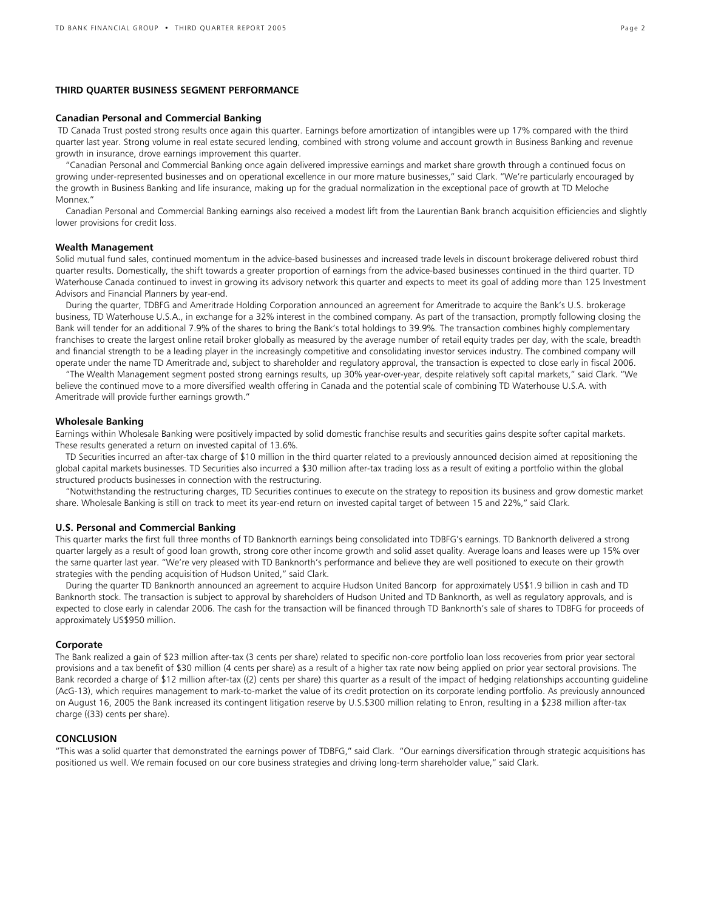### **THIRD QUARTER BUSINESS SEGMENT PERFORMANCE**

#### **Canadian Personal and Commercial Banking**

 TD Canada Trust posted strong results once again this quarter. Earnings before amortization of intangibles were up 17% compared with the third quarter last year. Strong volume in real estate secured lending, combined with strong volume and account growth in Business Banking and revenue growth in insurance, drove earnings improvement this quarter.

"Canadian Personal and Commercial Banking once again delivered impressive earnings and market share growth through a continued focus on growing under-represented businesses and on operational excellence in our more mature businesses," said Clark. "We're particularly encouraged by the growth in Business Banking and life insurance, making up for the gradual normalization in the exceptional pace of growth at TD Meloche Monnex<sup>"</sup>

 Canadian Personal and Commercial Banking earnings also received a modest lift from the Laurentian Bank branch acquisition efficiencies and slightly lower provisions for credit loss.

#### **Wealth Management**

Solid mutual fund sales, continued momentum in the advice-based businesses and increased trade levels in discount brokerage delivered robust third quarter results. Domestically, the shift towards a greater proportion of earnings from the advice-based businesses continued in the third quarter. TD Waterhouse Canada continued to invest in growing its advisory network this quarter and expects to meet its goal of adding more than 125 Investment Advisors and Financial Planners by year-end.

During the quarter, TDBFG and Ameritrade Holding Corporation announced an agreement for Ameritrade to acquire the Bank's U.S. brokerage business, TD Waterhouse U.S.A., in exchange for a 32% interest in the combined company. As part of the transaction, promptly following closing the Bank will tender for an additional 7.9% of the shares to bring the Bank's total holdings to 39.9%. The transaction combines highly complementary franchises to create the largest online retail broker globally as measured by the average number of retail equity trades per day, with the scale, breadth and financial strength to be a leading player in the increasingly competitive and consolidating investor services industry. The combined company will operate under the name TD Ameritrade and, subject to shareholder and regulatory approval, the transaction is expected to close early in fiscal 2006.

 "The Wealth Management segment posted strong earnings results, up 30% year-over-year, despite relatively soft capital markets," said Clark. "We believe the continued move to a more diversified wealth offering in Canada and the potential scale of combining TD Waterhouse U.S.A. with Ameritrade will provide further earnings growth."

### **Wholesale Banking**

Earnings within Wholesale Banking were positively impacted by solid domestic franchise results and securities gains despite softer capital markets. These results generated a return on invested capital of 13.6%.

TD Securities incurred an after-tax charge of \$10 million in the third quarter related to a previously announced decision aimed at repositioning the global capital markets businesses. TD Securities also incurred a \$30 million after-tax trading loss as a result of exiting a portfolio within the global structured products businesses in connection with the restructuring.

 "Notwithstanding the restructuring charges, TD Securities continues to execute on the strategy to reposition its business and grow domestic market share. Wholesale Banking is still on track to meet its year-end return on invested capital target of between 15 and 22%," said Clark.

#### **U.S. Personal and Commercial Banking**

This quarter marks the first full three months of TD Banknorth earnings being consolidated into TDBFG's earnings. TD Banknorth delivered a strong quarter largely as a result of good loan growth, strong core other income growth and solid asset quality. Average loans and leases were up 15% over the same quarter last year. "We're very pleased with TD Banknorth's performance and believe they are well positioned to execute on their growth strategies with the pending acquisition of Hudson United," said Clark.

 During the quarter TD Banknorth announced an agreement to acquire Hudson United Bancorp for approximately US\$1.9 billion in cash and TD Banknorth stock. The transaction is subject to approval by shareholders of Hudson United and TD Banknorth, as well as regulatory approvals, and is expected to close early in calendar 2006. The cash for the transaction will be financed through TD Banknorth's sale of shares to TDBFG for proceeds of approximately US\$950 million.

#### **Corporate**

The Bank realized a gain of \$23 million after-tax (3 cents per share) related to specific non-core portfolio loan loss recoveries from prior year sectoral provisions and a tax benefit of \$30 million (4 cents per share) as a result of a higher tax rate now being applied on prior year sectoral provisions. The Bank recorded a charge of \$12 million after-tax ((2) cents per share) this quarter as a result of the impact of hedging relationships accounting guideline (AcG-13), which requires management to mark-to-market the value of its credit protection on its corporate lending portfolio. As previously announced on August 16, 2005 the Bank increased its contingent litigation reserve by U.S.\$300 million relating to Enron, resulting in a \$238 million after-tax charge ((33) cents per share).

### **CONCLUSION**

"This was a solid quarter that demonstrated the earnings power of TDBFG," said Clark. "Our earnings diversification through strategic acquisitions has positioned us well. We remain focused on our core business strategies and driving long-term shareholder value," said Clark.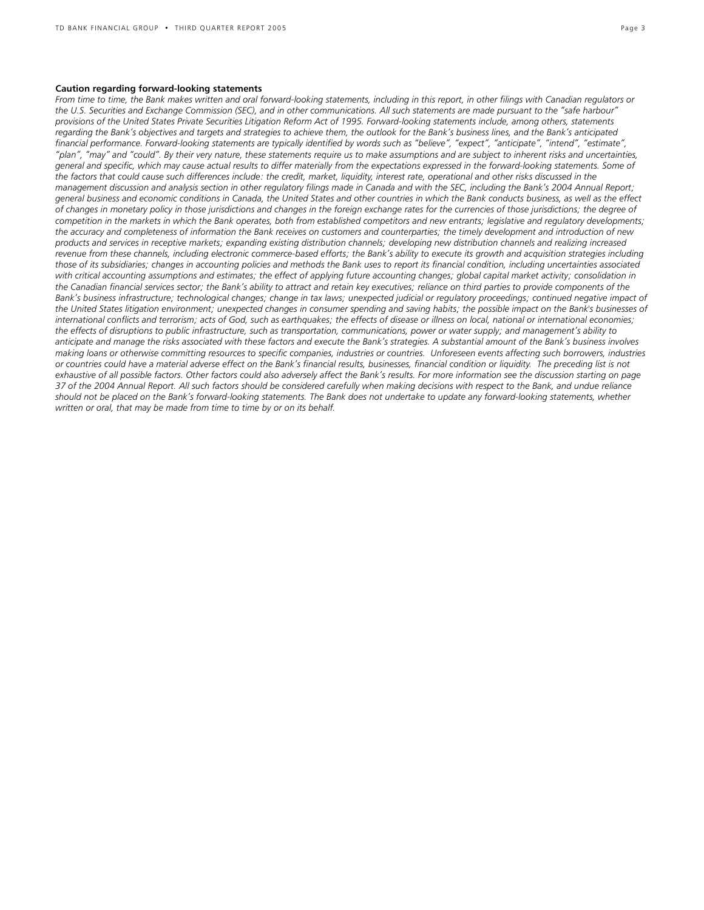### **Caution regarding forward-looking statements**

*From time to time, the Bank makes written and oral forward-looking statements, including in this report, in other filings with Canadian regulators or the U.S. Securities and Exchange Commission (SEC), and in other communications. All such statements are made pursuant to the "safe harbour" provisions of the United States Private Securities Litigation Reform Act of 1995. Forward-looking statements include, among others, statements regarding the Bank's objectives and targets and strategies to achieve them, the outlook for the Bank's business lines, and the Bank's anticipated financial performance. Forward-looking statements are typically identified by words such as "believe", "expect", "anticipate", "intend", "estimate", "plan", "may" and "could". By their very nature, these statements require us to make assumptions and are subject to inherent risks and uncertainties, general and specific, which may cause actual results to differ materially from the expectations expressed in the forward-looking statements. Some of the factors that could cause such differences include: the credit, market, liquidity, interest rate, operational and other risks discussed in the management discussion and analysis section in other regulatory filings made in Canada and with the SEC, including the Bank's 2004 Annual Report; general business and economic conditions in Canada, the United States and other countries in which the Bank conducts business, as well as the effect of changes in monetary policy in those jurisdictions and changes in the foreign exchange rates for the currencies of those jurisdictions; the degree of competition in the markets in which the Bank operates, both from established competitors and new entrants; legislative and regulatory developments; the accuracy and completeness of information the Bank receives on customers and counterparties; the timely development and introduction of new products and services in receptive markets; expanding existing distribution channels; developing new distribution channels and realizing increased revenue from these channels, including electronic commerce-based efforts; the Bank's ability to execute its growth and acquisition strategies including those of its subsidiaries; changes in accounting policies and methods the Bank uses to report its financial condition, including uncertainties associated*  with critical accounting assumptions and estimates; the effect of applying future accounting changes; global capital market activity; consolidation in *the Canadian financial services sector; the Bank's ability to attract and retain key executives; reliance on third parties to provide components of the*  Bank's business infrastructure; technological changes; change in tax laws; unexpected judicial or regulatory proceedings; continued negative impact of *the United States litigation environment; unexpected changes in consumer spending and saving habits; the possible impact on the Bank's businesses of international conflicts and terrorism; acts of God, such as earthquakes; the effects of disease or illness on local, national or international economies; the effects of disruptions to public infrastructure, such as transportation, communications, power or water supply; and management's ability to*  anticipate and manage the risks associated with these factors and execute the Bank's strategies. A substantial amount of the Bank's business involves *making loans or otherwise committing resources to specific companies, industries or countries. Unforeseen events affecting such borrowers, industries or countries could have a material adverse effect on the Bank's financial results, businesses, financial condition or liquidity. The preceding list is not exhaustive of all possible factors. Other factors could also adversely affect the Bank's results. For more information see the discussion starting on page 37 of the 2004 Annual Report. All such factors should be considered carefully when making decisions with respect to the Bank, and undue reliance*  should not be placed on the Bank's forward-looking statements. The Bank does not undertake to update any forward-looking statements, whether *written or oral, that may be made from time to time by or on its behalf.*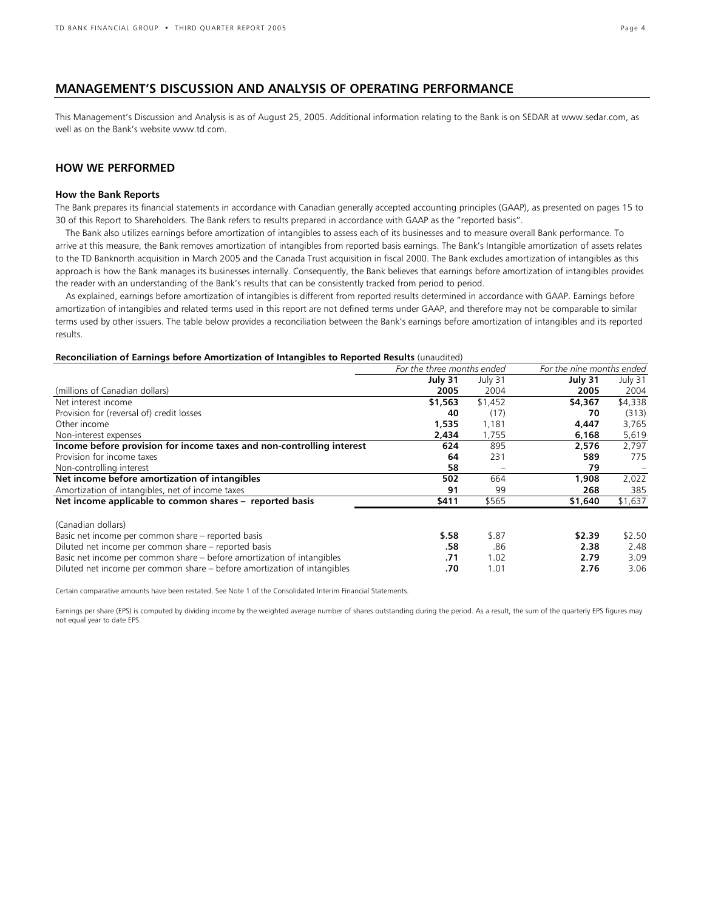### **MANAGEMENT'S DISCUSSION AND ANALYSIS OF OPERATING PERFORMANCE**

This Management's Discussion and Analysis is as of August 25, 2005. Additional information relating to the Bank is on SEDAR at www.sedar.com, as well as on the Bank's website www.td.com.

### **HOW WE PERFORMED**

### **How the Bank Reports**

The Bank prepares its financial statements in accordance with Canadian generally accepted accounting principles (GAAP), as presented on pages 15 to 30 of this Report to Shareholders. The Bank refers to results prepared in accordance with GAAP as the "reported basis".

 The Bank also utilizes earnings before amortization of intangibles to assess each of its businesses and to measure overall Bank performance. To arrive at this measure, the Bank removes amortization of intangibles from reported basis earnings. The Bank's Intangible amortization of assets relates to the TD Banknorth acquisition in March 2005 and the Canada Trust acquisition in fiscal 2000. The Bank excludes amortization of intangibles as this approach is how the Bank manages its businesses internally. Consequently, the Bank believes that earnings before amortization of intangibles provides the reader with an understanding of the Bank's results that can be consistently tracked from period to period.

 As explained, earnings before amortization of intangibles is different from reported results determined in accordance with GAAP. Earnings before amortization of intangibles and related terms used in this report are not defined terms under GAAP, and therefore may not be comparable to similar terms used by other issuers. The table below provides a reconciliation between the Bank's earnings before amortization of intangibles and its reported results.

### **Reconciliation of Earnings before Amortization of Intangibles to Reported Results** (unaudited)

|                                                                          | For the three months ended |         | For the nine months ended |         |
|--------------------------------------------------------------------------|----------------------------|---------|---------------------------|---------|
|                                                                          | July 31                    | July 31 | July 31                   | July 31 |
| (millions of Canadian dollars)                                           | 2005                       | 2004    | 2005                      | 2004    |
| Net interest income                                                      | \$1,563                    | \$1,452 | \$4,367                   | \$4,338 |
| Provision for (reversal of) credit losses                                | 40                         | (17)    | 70                        | (313)   |
| Other income                                                             | 1,535                      | 1,181   | 4,447                     | 3,765   |
| Non-interest expenses                                                    | 2,434                      | 1,755   | 6,168                     | 5,619   |
| Income before provision for income taxes and non-controlling interest    | 624                        | 895     | 2,576                     | 2,797   |
| Provision for income taxes                                               | 64                         | 231     | 589                       | 775     |
| Non-controlling interest                                                 | 58                         |         | 79                        |         |
| Net income before amortization of intangibles                            | 502                        | 664     | 1,908                     | 2,022   |
| Amortization of intangibles, net of income taxes                         | 91                         | 99      | 268                       | 385     |
| Net income applicable to common shares - reported basis                  | \$411                      | \$565   | \$1,640                   | \$1,637 |
| (Canadian dollars)                                                       |                            |         |                           |         |
| Basic net income per common share – reported basis                       | \$.58                      | \$.87   | \$2.39                    | \$2.50  |
| Diluted net income per common share – reported basis                     | .58                        | .86     | 2.38                      | 2.48    |
| Basic net income per common share – before amortization of intangibles   | .71                        | 1.02    | 2.79                      | 3.09    |
| Diluted net income per common share – before amortization of intangibles | .70                        | 1.01    | 2.76                      | 3.06    |

Certain comparative amounts have been restated. See Note 1 of the Consolidated Interim Financial Statements.

Earnings per share (EPS) is computed by dividing income by the weighted average number of shares outstanding during the period. As a result, the sum of the quarterly EPS figures may not equal year to date EPS.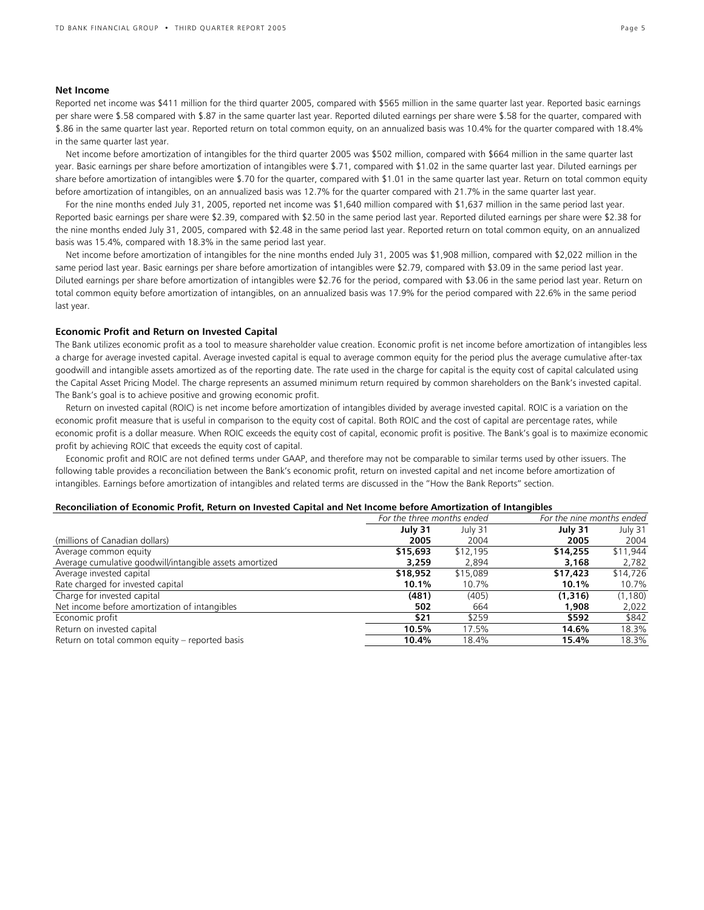### **Net Income**

Reported net income was \$411 million for the third quarter 2005, compared with \$565 million in the same quarter last year. Reported basic earnings per share were \$.58 compared with \$.87 in the same quarter last year. Reported diluted earnings per share were \$.58 for the quarter, compared with \$.86 in the same quarter last year. Reported return on total common equity, on an annualized basis was 10.4% for the quarter compared with 18.4% in the same quarter last year.

 Net income before amortization of intangibles for the third quarter 2005 was \$502 million, compared with \$664 million in the same quarter last year. Basic earnings per share before amortization of intangibles were \$.71, compared with \$1.02 in the same quarter last year. Diluted earnings per share before amortization of intangibles were \$.70 for the quarter, compared with \$1.01 in the same quarter last year. Return on total common equity before amortization of intangibles, on an annualized basis was 12.7% for the quarter compared with 21.7% in the same quarter last year.

 For the nine months ended July 31, 2005, reported net income was \$1,640 million compared with \$1,637 million in the same period last year. Reported basic earnings per share were \$2.39, compared with \$2.50 in the same period last year. Reported diluted earnings per share were \$2.38 for the nine months ended July 31, 2005, compared with \$2.48 in the same period last year. Reported return on total common equity, on an annualized basis was 15.4%, compared with 18.3% in the same period last year.

 Net income before amortization of intangibles for the nine months ended July 31, 2005 was \$1,908 million, compared with \$2,022 million in the same period last year. Basic earnings per share before amortization of intangibles were \$2.79, compared with \$3.09 in the same period last year. Diluted earnings per share before amortization of intangibles were \$2.76 for the period, compared with \$3.06 in the same period last year. Return on total common equity before amortization of intangibles, on an annualized basis was 17.9% for the period compared with 22.6% in the same period last year.

#### **Economic Profit and Return on Invested Capital**

The Bank utilizes economic profit as a tool to measure shareholder value creation. Economic profit is net income before amortization of intangibles less a charge for average invested capital. Average invested capital is equal to average common equity for the period plus the average cumulative after-tax goodwill and intangible assets amortized as of the reporting date. The rate used in the charge for capital is the equity cost of capital calculated using the Capital Asset Pricing Model. The charge represents an assumed minimum return required by common shareholders on the Bank's invested capital. The Bank's goal is to achieve positive and growing economic profit.

 Return on invested capital (ROIC) is net income before amortization of intangibles divided by average invested capital. ROIC is a variation on the economic profit measure that is useful in comparison to the equity cost of capital. Both ROIC and the cost of capital are percentage rates, while economic profit is a dollar measure. When ROIC exceeds the equity cost of capital, economic profit is positive. The Bank's goal is to maximize economic profit by achieving ROIC that exceeds the equity cost of capital.

 Economic profit and ROIC are not defined terms under GAAP, and therefore may not be comparable to similar terms used by other issuers. The following table provides a reconciliation between the Bank's economic profit, return on invested capital and net income before amortization of intangibles. Earnings before amortization of intangibles and related terms are discussed in the "How the Bank Reports" section.

### **Reconciliation of Economic Profit, Return on Invested Capital and Net Income before Amortization of Intangibles**

|                                                         | For the three months ended |          | For the nine months ended |          |
|---------------------------------------------------------|----------------------------|----------|---------------------------|----------|
|                                                         | July 31                    | July 31  | July 31                   | July 31  |
| (millions of Canadian dollars)                          | 2005                       | 2004     | 2005                      | 2004     |
| Average common equity                                   | \$15,693                   | \$12,195 | \$14,255                  | \$11,944 |
| Average cumulative goodwill/intangible assets amortized | 3,259                      | 2.894    | 3,168                     | 2,782    |
| Average invested capital                                | \$18,952                   | \$15,089 | \$17,423                  | \$14,726 |
| Rate charged for invested capital                       | 10.1%                      | 10.7%    | 10.1%                     | 10.7%    |
| Charge for invested capital                             | (481)                      | (405)    | (1,316)                   | (1, 180) |
| Net income before amortization of intangibles           | 502                        | 664      | 1.908                     | 2,022    |
| Economic profit                                         | \$21                       | \$259    | \$592                     | \$842    |
| Return on invested capital                              | 10.5%                      | 17.5%    | 14.6%                     | 18.3%    |
| Return on total common equity – reported basis          | 10.4%                      | 18.4%    | 15.4%                     | 18.3%    |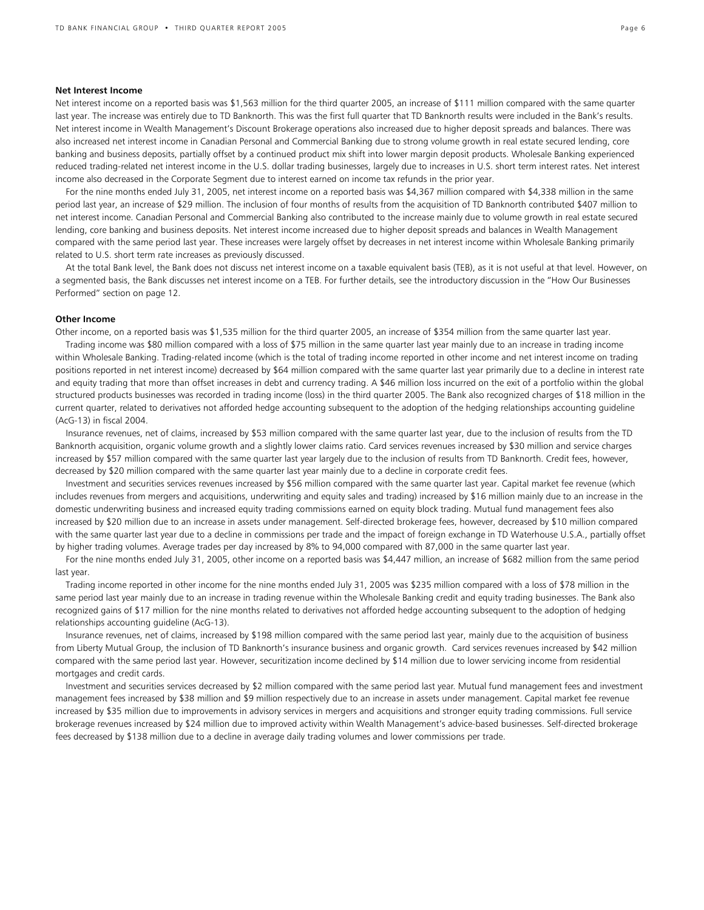#### **Net Interest Income**

Net interest income on a reported basis was \$1,563 million for the third quarter 2005, an increase of \$111 million compared with the same quarter last year. The increase was entirely due to TD Banknorth. This was the first full quarter that TD Banknorth results were included in the Bank's results. Net interest income in Wealth Management's Discount Brokerage operations also increased due to higher deposit spreads and balances. There was also increased net interest income in Canadian Personal and Commercial Banking due to strong volume growth in real estate secured lending, core banking and business deposits, partially offset by a continued product mix shift into lower margin deposit products. Wholesale Banking experienced reduced trading-related net interest income in the U.S. dollar trading businesses, largely due to increases in U.S. short term interest rates. Net interest income also decreased in the Corporate Segment due to interest earned on income tax refunds in the prior year.

 For the nine months ended July 31, 2005, net interest income on a reported basis was \$4,367 million compared with \$4,338 million in the same period last year, an increase of \$29 million. The inclusion of four months of results from the acquisition of TD Banknorth contributed \$407 million to net interest income. Canadian Personal and Commercial Banking also contributed to the increase mainly due to volume growth in real estate secured lending, core banking and business deposits. Net interest income increased due to higher deposit spreads and balances in Wealth Management compared with the same period last year. These increases were largely offset by decreases in net interest income within Wholesale Banking primarily related to U.S. short term rate increases as previously discussed.

 At the total Bank level, the Bank does not discuss net interest income on a taxable equivalent basis (TEB), as it is not useful at that level. However, on a segmented basis, the Bank discusses net interest income on a TEB. For further details, see the introductory discussion in the "How Our Businesses Performed" section on page 12.

### **Other Income**

Other income, on a reported basis was \$1,535 million for the third quarter 2005, an increase of \$354 million from the same quarter last year.

 Trading income was \$80 million compared with a loss of \$75 million in the same quarter last year mainly due to an increase in trading income within Wholesale Banking. Trading-related income (which is the total of trading income reported in other income and net interest income on trading positions reported in net interest income) decreased by \$64 million compared with the same quarter last year primarily due to a decline in interest rate and equity trading that more than offset increases in debt and currency trading. A \$46 million loss incurred on the exit of a portfolio within the global structured products businesses was recorded in trading income (loss) in the third quarter 2005. The Bank also recognized charges of \$18 million in the current quarter, related to derivatives not afforded hedge accounting subsequent to the adoption of the hedging relationships accounting guideline (AcG-13) in fiscal 2004.

 Insurance revenues, net of claims, increased by \$53 million compared with the same quarter last year, due to the inclusion of results from the TD Banknorth acquisition, organic volume growth and a slightly lower claims ratio. Card services revenues increased by \$30 million and service charges increased by \$57 million compared with the same quarter last year largely due to the inclusion of results from TD Banknorth. Credit fees, however, decreased by \$20 million compared with the same quarter last year mainly due to a decline in corporate credit fees.

 Investment and securities services revenues increased by \$56 million compared with the same quarter last year. Capital market fee revenue (which includes revenues from mergers and acquisitions, underwriting and equity sales and trading) increased by \$16 million mainly due to an increase in the domestic underwriting business and increased equity trading commissions earned on equity block trading. Mutual fund management fees also increased by \$20 million due to an increase in assets under management. Self-directed brokerage fees, however, decreased by \$10 million compared with the same quarter last year due to a decline in commissions per trade and the impact of foreign exchange in TD Waterhouse U.S.A., partially offset by higher trading volumes. Average trades per day increased by 8% to 94,000 compared with 87,000 in the same quarter last year.

 For the nine months ended July 31, 2005, other income on a reported basis was \$4,447 million, an increase of \$682 million from the same period last year.

 Trading income reported in other income for the nine months ended July 31, 2005 was \$235 million compared with a loss of \$78 million in the same period last year mainly due to an increase in trading revenue within the Wholesale Banking credit and equity trading businesses. The Bank also recognized gains of \$17 million for the nine months related to derivatives not afforded hedge accounting subsequent to the adoption of hedging relationships accounting guideline (AcG-13).

 Insurance revenues, net of claims, increased by \$198 million compared with the same period last year, mainly due to the acquisition of business from Liberty Mutual Group, the inclusion of TD Banknorth's insurance business and organic growth. Card services revenues increased by \$42 million compared with the same period last year. However, securitization income declined by \$14 million due to lower servicing income from residential mortgages and credit cards.

 Investment and securities services decreased by \$2 million compared with the same period last year. Mutual fund management fees and investment management fees increased by \$38 million and \$9 million respectively due to an increase in assets under management. Capital market fee revenue increased by \$35 million due to improvements in advisory services in mergers and acquisitions and stronger equity trading commissions. Full service brokerage revenues increased by \$24 million due to improved activity within Wealth Management's advice-based businesses. Self-directed brokerage fees decreased by \$138 million due to a decline in average daily trading volumes and lower commissions per trade.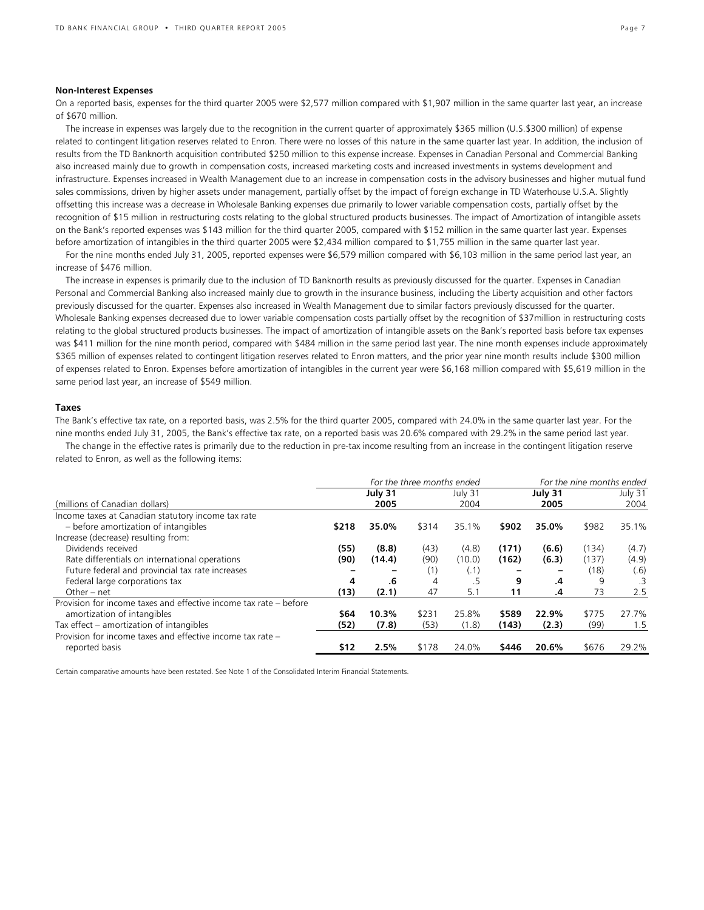#### **Non-Interest Expenses**

On a reported basis, expenses for the third quarter 2005 were \$2,577 million compared with \$1,907 million in the same quarter last year, an increase of \$670 million.

 The increase in expenses was largely due to the recognition in the current quarter of approximately \$365 million (U.S.\$300 million) of expense related to contingent litigation reserves related to Enron. There were no losses of this nature in the same quarter last year. In addition, the inclusion of results from the TD Banknorth acquisition contributed \$250 million to this expense increase. Expenses in Canadian Personal and Commercial Banking also increased mainly due to growth in compensation costs, increased marketing costs and increased investments in systems development and infrastructure. Expenses increased in Wealth Management due to an increase in compensation costs in the advisory businesses and higher mutual fund sales commissions, driven by higher assets under management, partially offset by the impact of foreign exchange in TD Waterhouse U.S.A. Slightly offsetting this increase was a decrease in Wholesale Banking expenses due primarily to lower variable compensation costs, partially offset by the recognition of \$15 million in restructuring costs relating to the global structured products businesses. The impact of Amortization of intangible assets on the Bank's reported expenses was \$143 million for the third quarter 2005, compared with \$152 million in the same quarter last year. Expenses before amortization of intangibles in the third quarter 2005 were \$2,434 million compared to \$1,755 million in the same quarter last year.

 For the nine months ended July 31, 2005, reported expenses were \$6,579 million compared with \$6,103 million in the same period last year, an increase of \$476 million.

 The increase in expenses is primarily due to the inclusion of TD Banknorth results as previously discussed for the quarter. Expenses in Canadian Personal and Commercial Banking also increased mainly due to growth in the insurance business, including the Liberty acquisition and other factors previously discussed for the quarter. Expenses also increased in Wealth Management due to similar factors previously discussed for the quarter. Wholesale Banking expenses decreased due to lower variable compensation costs partially offset by the recognition of \$37million in restructuring costs relating to the global structured products businesses. The impact of amortization of intangible assets on the Bank's reported basis before tax expenses was \$411 million for the nine month period, compared with \$484 million in the same period last year. The nine month expenses include approximately \$365 million of expenses related to contingent litigation reserves related to Enron matters, and the prior year nine month results include \$300 million of expenses related to Enron. Expenses before amortization of intangibles in the current year were \$6,168 million compared with \$5,619 million in the same period last year, an increase of \$549 million.

#### **Taxes**

The Bank's effective tax rate, on a reported basis, was 2.5% for the third quarter 2005, compared with 24.0% in the same quarter last year. For the nine months ended July 31, 2005, the Bank's effective tax rate, on a reported basis was 20.6% compared with 29.2% in the same period last year.

 The change in the effective rates is primarily due to the reduction in pre-tax income resulting from an increase in the contingent litigation reserve related to Enron, as well as the following items:

|                                                                   |       | For the three months ended |       | For the nine months ended |       |         |       |         |
|-------------------------------------------------------------------|-------|----------------------------|-------|---------------------------|-------|---------|-------|---------|
|                                                                   |       | July 31                    |       | July 31                   |       | July 31 |       | July 31 |
| (millions of Canadian dollars)                                    |       | 2005                       |       | 2004                      |       | 2005    |       | 2004    |
| Income taxes at Canadian statutory income tax rate                |       |                            |       |                           |       |         |       |         |
| - before amortization of intangibles                              | \$218 | 35.0%                      | \$314 | 35.1%                     | \$902 | 35.0%   | \$982 | 35.1%   |
| Increase (decrease) resulting from:                               |       |                            |       |                           |       |         |       |         |
| Dividends received                                                | (55)  | (8.8)                      | (43)  | (4.8)                     | (171) | (6.6)   | (134) | (4.7)   |
| Rate differentials on international operations                    | (90)  | (14.4)                     | (90)  | (10.0)                    | (162) | (6.3)   | (137) | (4.9)   |
| Future federal and provincial tax rate increases                  |       |                            | (1)   | (.1)                      |       |         | (18)  | (.6)    |
| Federal large corporations tax                                    | 4     | .6                         | 4     | .5                        | 9     | .4      | 9     | .3      |
| Other $-$ net                                                     | (13)  | (2.1)                      | 47    | 5.1                       | 11    | .4      | 73    | 2.5     |
| Provision for income taxes and effective income tax rate - before |       |                            |       |                           |       |         |       |         |
| amortization of intangibles                                       | \$64  | 10.3%                      | \$231 | 25.8%                     | \$589 | 22.9%   | \$775 | 27.7%   |
| Tax effect – amortization of intangibles                          | (52)  | (7.8)                      | (53)  | (1.8)                     | (143) | (2.3)   | (99)  | 1.5     |
| Provision for income taxes and effective income tax rate -        |       |                            |       |                           |       |         |       |         |
| reported basis                                                    | \$12  | 2.5%                       | \$178 | 24.0%                     | \$446 | 20.6%   | \$676 | 29.2%   |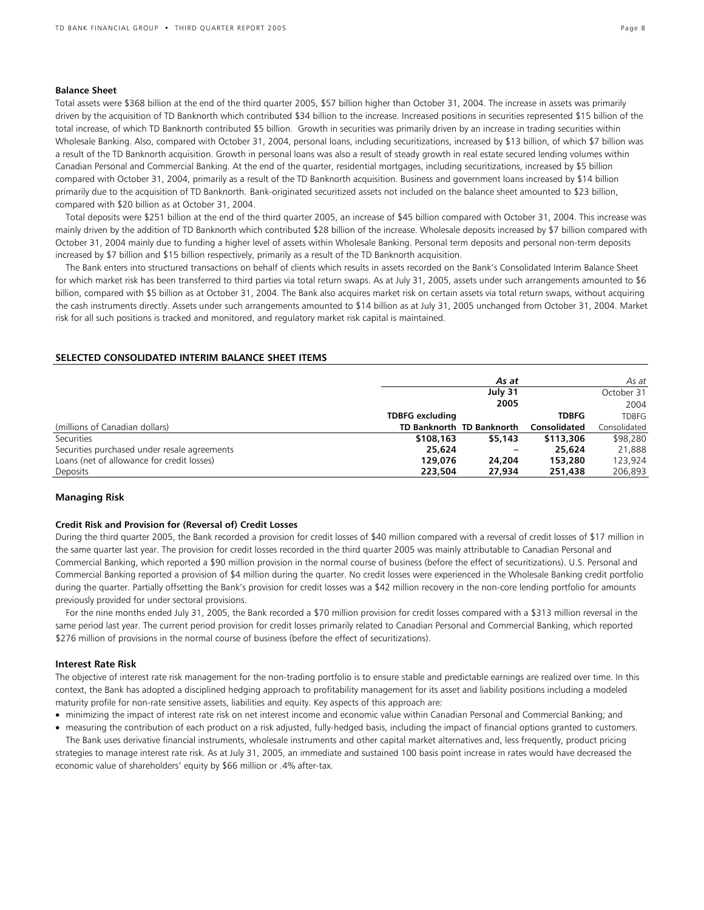#### **Balance Sheet**

Total assets were \$368 billion at the end of the third quarter 2005, \$57 billion higher than October 31, 2004. The increase in assets was primarily driven by the acquisition of TD Banknorth which contributed \$34 billion to the increase. Increased positions in securities represented \$15 billion of the total increase, of which TD Banknorth contributed \$5 billion. Growth in securities was primarily driven by an increase in trading securities within Wholesale Banking. Also, compared with October 31, 2004, personal loans, including securitizations, increased by \$13 billion, of which \$7 billion was a result of the TD Banknorth acquisition. Growth in personal loans was also a result of steady growth in real estate secured lending volumes within Canadian Personal and Commercial Banking. At the end of the quarter, residential mortgages, including securitizations, increased by \$5 billion compared with October 31, 2004, primarily as a result of the TD Banknorth acquisition. Business and government loans increased by \$14 billion primarily due to the acquisition of TD Banknorth. Bank-originated securitized assets not included on the balance sheet amounted to \$23 billion, compared with \$20 billion as at October 31, 2004.

 Total deposits were \$251 billion at the end of the third quarter 2005, an increase of \$45 billion compared with October 31, 2004. This increase was mainly driven by the addition of TD Banknorth which contributed \$28 billion of the increase. Wholesale deposits increased by \$7 billion compared with October 31, 2004 mainly due to funding a higher level of assets within Wholesale Banking. Personal term deposits and personal non-term deposits increased by \$7 billion and \$15 billion respectively, primarily as a result of the TD Banknorth acquisition.

 The Bank enters into structured transactions on behalf of clients which results in assets recorded on the Bank's Consolidated Interim Balance Sheet for which market risk has been transferred to third parties via total return swaps. As at July 31, 2005, assets under such arrangements amounted to \$6 billion, compared with \$5 billion as at October 31, 2004. The Bank also acquires market risk on certain assets via total return swaps, without acquiring the cash instruments directly. Assets under such arrangements amounted to \$14 billion as at July 31, 2005 unchanged from October 31, 2004. Market risk for all such positions is tracked and monitored, and regulatory market risk capital is maintained.

### **SELECTED CONSOLIDATED INTERIM BALANCE SHEET ITEMS**

|                                              |                        | As at                     |              | As at        |
|----------------------------------------------|------------------------|---------------------------|--------------|--------------|
|                                              |                        | July 31                   |              | October 31   |
|                                              |                        | 2005                      |              | 2004         |
|                                              | <b>TDBFG</b> excluding |                           | <b>TDBFG</b> | TDBFG        |
| (millions of Canadian dollars)               |                        | TD Banknorth TD Banknorth | Consolidated | Consolidated |
| Securities                                   | \$108,163              | \$5,143                   | \$113,306    | \$98,280     |
| Securities purchased under resale agreements | 25,624                 |                           | 25,624       | 21,888       |
| Loans (net of allowance for credit losses)   | 129,076                | 24,204                    | 153,280      | 123,924      |
| Deposits                                     | 223,504                | 27,934                    | 251,438      | 206.893      |

### **Managing Risk**

### **Credit Risk and Provision for (Reversal of) Credit Losses**

During the third quarter 2005, the Bank recorded a provision for credit losses of \$40 million compared with a reversal of credit losses of \$17 million in the same quarter last year. The provision for credit losses recorded in the third quarter 2005 was mainly attributable to Canadian Personal and Commercial Banking, which reported a \$90 million provision in the normal course of business (before the effect of securitizations). U.S. Personal and Commercial Banking reported a provision of \$4 million during the quarter. No credit losses were experienced in the Wholesale Banking credit portfolio during the quarter. Partially offsetting the Bank's provision for credit losses was a \$42 million recovery in the non-core lending portfolio for amounts previously provided for under sectoral provisions.

 For the nine months ended July 31, 2005, the Bank recorded a \$70 million provision for credit losses compared with a \$313 million reversal in the same period last year. The current period provision for credit losses primarily related to Canadian Personal and Commercial Banking, which reported \$276 million of provisions in the normal course of business (before the effect of securitizations).

### **Interest Rate Risk**

The objective of interest rate risk management for the non-trading portfolio is to ensure stable and predictable earnings are realized over time. In this context, the Bank has adopted a disciplined hedging approach to profitability management for its asset and liability positions including a modeled maturity profile for non-rate sensitive assets, liabilities and equity. Key aspects of this approach are:

• minimizing the impact of interest rate risk on net interest income and economic value within Canadian Personal and Commercial Banking; and • measuring the contribution of each product on a risk adjusted, fully-hedged basis, including the impact of financial options granted to customers.

 The Bank uses derivative financial instruments, wholesale instruments and other capital market alternatives and, less frequently, product pricing strategies to manage interest rate risk. As at July 31, 2005, an immediate and sustained 100 basis point increase in rates would have decreased the economic value of shareholders' equity by \$66 million or .4% after-tax.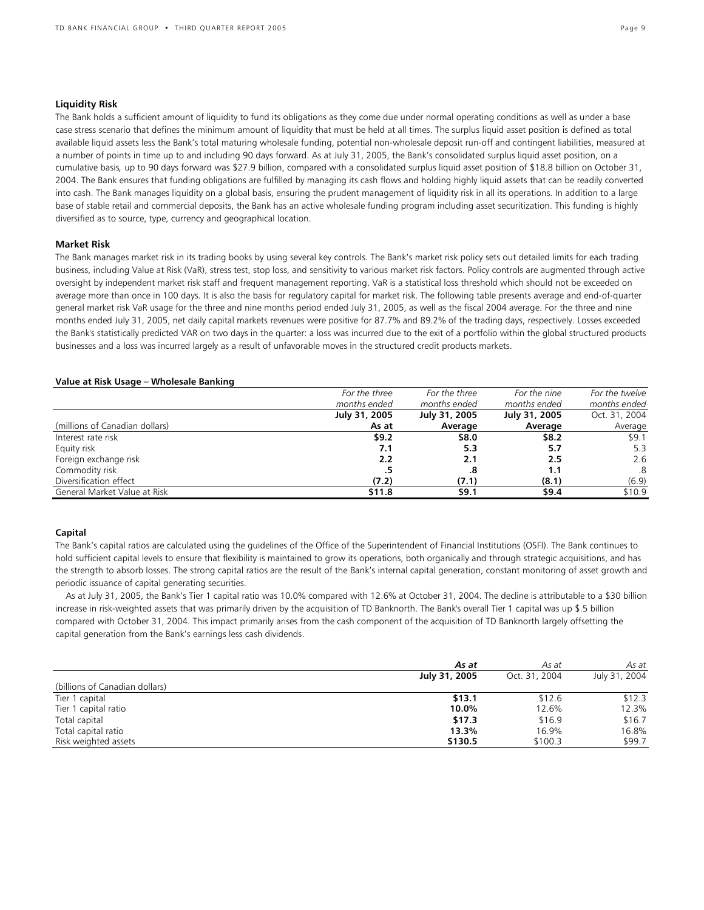### **Liquidity Risk**

The Bank holds a sufficient amount of liquidity to fund its obligations as they come due under normal operating conditions as well as under a base case stress scenario that defines the minimum amount of liquidity that must be held at all times. The surplus liquid asset position is defined as total available liquid assets less the Bank's total maturing wholesale funding, potential non-wholesale deposit run-off and contingent liabilities, measured at a number of points in time up to and including 90 days forward. As at July 31, 2005, the Bank's consolidated surplus liquid asset position, on a cumulative basis*,* up to 90 days forward was \$27.9 billion, compared with a consolidated surplus liquid asset position of \$18.8 billion on October 31, 2004. The Bank ensures that funding obligations are fulfilled by managing its cash flows and holding highly liquid assets that can be readily converted into cash. The Bank manages liquidity on a global basis, ensuring the prudent management of liquidity risk in all its operations. In addition to a large base of stable retail and commercial deposits, the Bank has an active wholesale funding program including asset securitization. This funding is highly diversified as to source, type, currency and geographical location.

### **Market Risk**

The Bank manages market risk in its trading books by using several key controls. The Bank's market risk policy sets out detailed limits for each trading business, including Value at Risk (VaR), stress test, stop loss, and sensitivity to various market risk factors. Policy controls are augmented through active oversight by independent market risk staff and frequent management reporting. VaR is a statistical loss threshold which should not be exceeded on average more than once in 100 days. It is also the basis for regulatory capital for market risk. The following table presents average and end-of-quarter general market risk VaR usage for the three and nine months period ended July 31, 2005, as well as the fiscal 2004 average. For the three and nine months ended July 31, 2005, net daily capital markets revenues were positive for 87.7% and 89.2% of the trading days, respectively. Losses exceeded the Bank's statistically predicted VAR on two days in the quarter: a loss was incurred due to the exit of a portfolio within the global structured products businesses and a loss was incurred largely as a result of unfavorable moves in the structured credit products markets.

### **Value at Risk Usage – Wholesale Banking**

|                                | For the three | For the three | For the nine  | For the twelve |
|--------------------------------|---------------|---------------|---------------|----------------|
|                                | months ended  | months ended  | months ended  | months ended   |
|                                | July 31, 2005 | July 31, 2005 | July 31, 2005 | Oct. 31, 2004  |
| (millions of Canadian dollars) | As at         | Average       | Average       | Average        |
| Interest rate risk             | \$9.2         | \$8.0         | \$8.2         | \$9.1          |
| Equity risk                    | 7.1           | 5.3           | 5.7           | 5.3            |
| Foreign exchange risk          | 2.2           | 2.1           | 2.5           | 2.6            |
| Commodity risk                 | .5            |               | 1.1           | .8             |
| Diversification effect         | (7.2)         | (7.1)         | (8.1)         | (6.9)          |
| General Market Value at Risk   | \$11.8        | \$9.1         | \$9.4         | \$10.9         |

#### **Capital**

The Bank's capital ratios are calculated using the guidelines of the Office of the Superintendent of Financial Institutions (OSFI). The Bank continues to hold sufficient capital levels to ensure that flexibility is maintained to grow its operations, both organically and through strategic acquisitions, and has the strength to absorb losses. The strong capital ratios are the result of the Bank's internal capital generation, constant monitoring of asset growth and periodic issuance of capital generating securities.

 As at July 31, 2005, the Bank's Tier 1 capital ratio was 10.0% compared with 12.6% at October 31, 2004. The decline is attributable to a \$30 billion increase in risk-weighted assets that was primarily driven by the acquisition of TD Banknorth. The Bank's overall Tier 1 capital was up \$.5 billion compared with October 31, 2004. This impact primarily arises from the cash component of the acquisition of TD Banknorth largely offsetting the capital generation from the Bank's earnings less cash dividends.

|                                | As at         | As at         | As at         |
|--------------------------------|---------------|---------------|---------------|
|                                | July 31, 2005 | Oct. 31, 2004 | July 31, 2004 |
| (billions of Canadian dollars) |               |               |               |
| Tier 1 capital                 | \$13.1        | \$12.6        | \$12.3        |
| Tier 1 capital ratio           | 10.0%         | 12.6%         | 12.3%         |
| Total capital                  | \$17.3        | \$16.9        | \$16.7        |
| Total capital ratio            | 13.3%         | 16.9%         | 16.8%         |
| Risk weighted assets           | \$130.5       | \$100.3       | \$99.7        |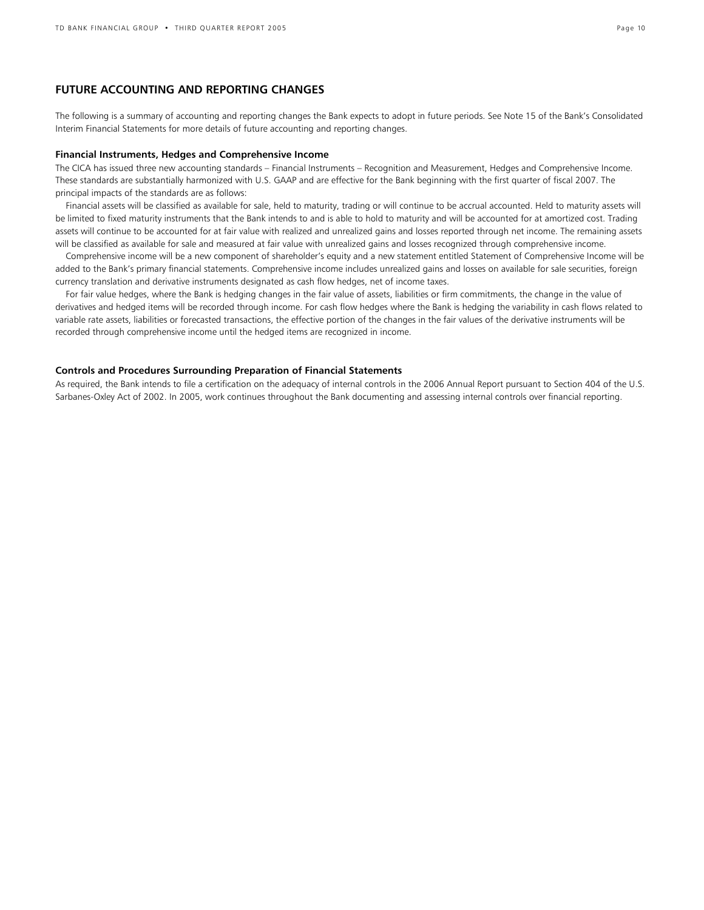### **FUTURE ACCOUNTING AND REPORTING CHANGES**

The following is a summary of accounting and reporting changes the Bank expects to adopt in future periods. See Note 15 of the Bank's Consolidated Interim Financial Statements for more details of future accounting and reporting changes.

### **Financial Instruments, Hedges and Comprehensive Income**

The CICA has issued three new accounting standards – Financial Instruments – Recognition and Measurement, Hedges and Comprehensive Income. These standards are substantially harmonized with U.S. GAAP and are effective for the Bank beginning with the first quarter of fiscal 2007. The principal impacts of the standards are as follows:

 Financial assets will be classified as available for sale, held to maturity, trading or will continue to be accrual accounted. Held to maturity assets will be limited to fixed maturity instruments that the Bank intends to and is able to hold to maturity and will be accounted for at amortized cost. Trading assets will continue to be accounted for at fair value with realized and unrealized gains and losses reported through net income. The remaining assets will be classified as available for sale and measured at fair value with unrealized gains and losses recognized through comprehensive income.

 Comprehensive income will be a new component of shareholder's equity and a new statement entitled Statement of Comprehensive Income will be added to the Bank's primary financial statements. Comprehensive income includes unrealized gains and losses on available for sale securities, foreign currency translation and derivative instruments designated as cash flow hedges, net of income taxes.

 For fair value hedges, where the Bank is hedging changes in the fair value of assets, liabilities or firm commitments, the change in the value of derivatives and hedged items will be recorded through income. For cash flow hedges where the Bank is hedging the variability in cash flows related to variable rate assets, liabilities or forecasted transactions, the effective portion of the changes in the fair values of the derivative instruments will be recorded through comprehensive income until the hedged items are recognized in income.

### **Controls and Procedures Surrounding Preparation of Financial Statements**

As required, the Bank intends to file a certification on the adequacy of internal controls in the 2006 Annual Report pursuant to Section 404 of the U.S. Sarbanes-Oxley Act of 2002. In 2005, work continues throughout the Bank documenting and assessing internal controls over financial reporting.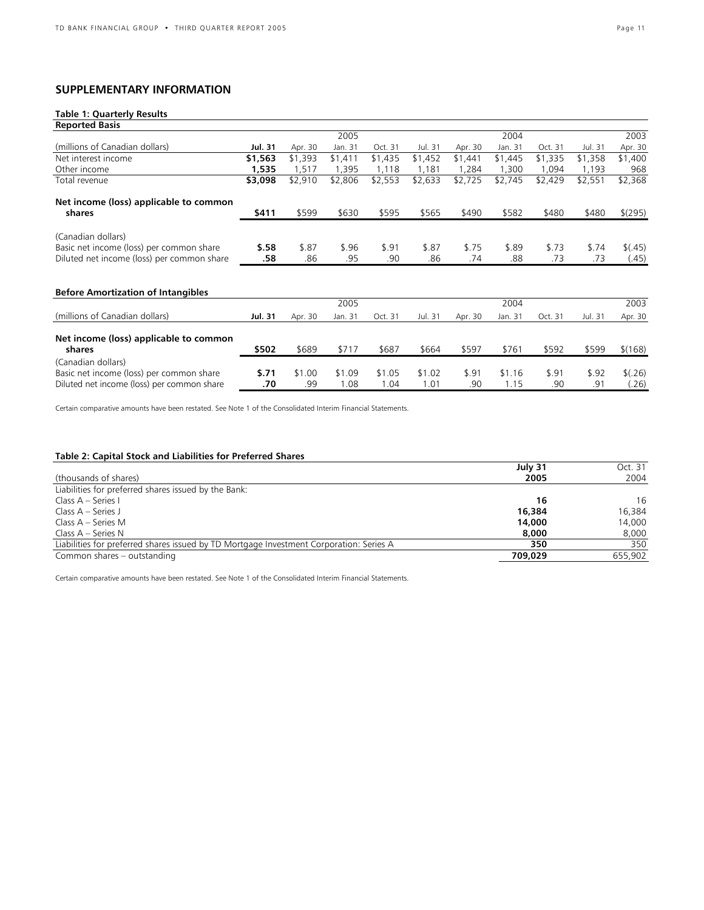### **SUPPLEMENTARY INFORMATION**

| <b>Table 1: Quarterly Results</b>          |                |         |         |         |         |         |         |         |         |         |
|--------------------------------------------|----------------|---------|---------|---------|---------|---------|---------|---------|---------|---------|
| <b>Reported Basis</b>                      |                |         |         |         |         |         |         |         |         |         |
|                                            |                |         | 2005    |         |         |         | 2004    |         |         | 2003    |
| (millions of Canadian dollars)             | <b>Jul. 31</b> | Apr. 30 | Jan. 31 | Oct. 31 | Jul. 31 | Apr. 30 | Jan. 31 | Oct. 31 | Jul. 31 | Apr. 30 |
| Net interest income                        | \$1,563        | \$1,393 | \$1,411 | \$1,435 | \$1,452 | \$1,441 | \$1,445 | \$1,335 | \$1,358 | \$1,400 |
| Other income                               | 1,535          | 1,517   | 1,395   | 1,118   | 1,181   | 1,284   | 1,300   | 1,094   | 1,193   | 968     |
| Total revenue                              | \$3,098        | \$2,910 | \$2,806 | \$2,553 | \$2,633 | \$2,725 | \$2,745 | \$2,429 | \$2,551 | \$2,368 |
| Net income (loss) applicable to common     |                |         |         |         |         |         |         |         |         |         |
| shares                                     | \$411          | \$599   | \$630   | \$595   | \$565   | \$490   | \$582   | \$480   | \$480   | \$(295) |
| (Canadian dollars)                         |                |         |         |         |         |         |         |         |         |         |
| Basic net income (loss) per common share   | \$.58          | \$.87   | \$.96   | \$.91   | \$.87   | \$.75   | \$.89   | \$.73   | \$.74   | \$(.45) |
| Diluted net income (loss) per common share | .58            | .86     | .95     | .90     | .86     | .74     | .88     | .73     | .73     | (.45)   |
|                                            |                |         |         |         |         |         |         |         |         |         |
| <b>Before Amortization of Intangibles</b>  |                |         |         |         |         |         |         |         |         |         |
|                                            |                |         | 2005    |         |         |         | 2004    |         |         | 2003    |
| (millions of Canadian dollars)             | <b>Jul. 31</b> | Apr. 30 | Jan. 31 | Oct. 31 | Jul. 31 | Apr. 30 | Jan. 31 | Oct. 31 | Jul. 31 | Apr. 30 |
| Net income (loss) applicable to common     |                |         |         |         |         |         |         |         |         |         |
| shares                                     | \$502          | \$689   | \$717   | \$687   | \$664   | \$597   | \$761   | \$592   | \$599   | \$(168) |
| (Canadian dollars)                         |                |         |         |         |         |         |         |         |         |         |
| Basic net income (loss) per common share   | \$.71          | \$1.00  | \$1.09  | \$1.05  | \$1.02  | \$.91   | \$1.16  | \$.91   | \$.92   | \$(.26) |
| Diluted net income (loss) per common share | .70            | .99     | 1.08    | 1.04    | 1.01    | .90     | 1.15    | .90     | .91     | (.26)   |

Certain comparative amounts have been restated. See Note 1 of the Consolidated Interim Financial Statements.

### **Table 2: Capital Stock and Liabilities for Preferred Shares**

|                                                                                         | July 31 | Oct. 31 |
|-----------------------------------------------------------------------------------------|---------|---------|
| (thousands of shares)                                                                   | 2005    | 2004    |
| Liabilities for preferred shares issued by the Bank:                                    |         |         |
| Class A – Series I                                                                      | 16      | 16      |
| Class A – Series J                                                                      | 16,384  | 16,384  |
| Class A – Series M                                                                      | 14,000  | 14,000  |
| Class A – Series N                                                                      | 8,000   | 8,000   |
| Liabilities for preferred shares issued by TD Mortgage Investment Corporation: Series A | 350     | 350     |
| Common shares – outstanding                                                             | 709.029 | 655,902 |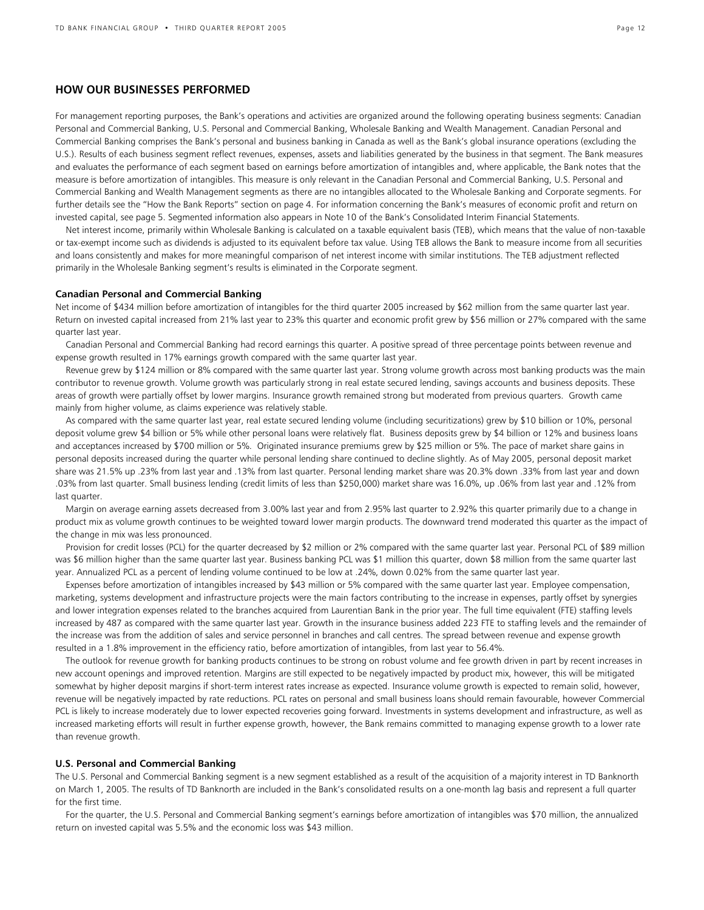### **HOW OUR BUSINESSES PERFORMED**

For management reporting purposes, the Bank's operations and activities are organized around the following operating business segments: Canadian Personal and Commercial Banking, U.S. Personal and Commercial Banking, Wholesale Banking and Wealth Management. Canadian Personal and Commercial Banking comprises the Bank's personal and business banking in Canada as well as the Bank's global insurance operations (excluding the U.S.). Results of each business segment reflect revenues, expenses, assets and liabilities generated by the business in that segment. The Bank measures and evaluates the performance of each segment based on earnings before amortization of intangibles and, where applicable, the Bank notes that the measure is before amortization of intangibles. This measure is only relevant in the Canadian Personal and Commercial Banking, U.S. Personal and Commercial Banking and Wealth Management segments as there are no intangibles allocated to the Wholesale Banking and Corporate segments. For further details see the "How the Bank Reports" section on page 4. For information concerning the Bank's measures of economic profit and return on invested capital, see page 5. Segmented information also appears in Note 10 of the Bank's Consolidated Interim Financial Statements.

 Net interest income, primarily within Wholesale Banking is calculated on a taxable equivalent basis (TEB), which means that the value of non-taxable or tax-exempt income such as dividends is adjusted to its equivalent before tax value. Using TEB allows the Bank to measure income from all securities and loans consistently and makes for more meaningful comparison of net interest income with similar institutions. The TEB adjustment reflected primarily in the Wholesale Banking segment's results is eliminated in the Corporate segment.

### **Canadian Personal and Commercial Banking**

Net income of \$434 million before amortization of intangibles for the third quarter 2005 increased by \$62 million from the same quarter last year. Return on invested capital increased from 21% last year to 23% this quarter and economic profit grew by \$56 million or 27% compared with the same quarter last year.

 Canadian Personal and Commercial Banking had record earnings this quarter. A positive spread of three percentage points between revenue and expense growth resulted in 17% earnings growth compared with the same quarter last year.

 Revenue grew by \$124 million or 8% compared with the same quarter last year. Strong volume growth across most banking products was the main contributor to revenue growth. Volume growth was particularly strong in real estate secured lending, savings accounts and business deposits. These areas of growth were partially offset by lower margins. Insurance growth remained strong but moderated from previous quarters. Growth came mainly from higher volume, as claims experience was relatively stable.

 As compared with the same quarter last year, real estate secured lending volume (including securitizations) grew by \$10 billion or 10%, personal deposit volume grew \$4 billion or 5% while other personal loans were relatively flat. Business deposits grew by \$4 billion or 12% and business loans and acceptances increased by \$700 million or 5%. Originated insurance premiums grew by \$25 million or 5%. The pace of market share gains in personal deposits increased during the quarter while personal lending share continued to decline slightly. As of May 2005, personal deposit market share was 21.5% up .23% from last year and .13% from last quarter. Personal lending market share was 20.3% down .33% from last year and down .03% from last quarter. Small business lending (credit limits of less than \$250,000) market share was 16.0%, up .06% from last year and .12% from last quarter.

 Margin on average earning assets decreased from 3.00% last year and from 2.95% last quarter to 2.92% this quarter primarily due to a change in product mix as volume growth continues to be weighted toward lower margin products. The downward trend moderated this quarter as the impact of the change in mix was less pronounced.

 Provision for credit losses (PCL) for the quarter decreased by \$2 million or 2% compared with the same quarter last year. Personal PCL of \$89 million was \$6 million higher than the same quarter last year. Business banking PCL was \$1 million this quarter, down \$8 million from the same quarter last year. Annualized PCL as a percent of lending volume continued to be low at .24%, down 0.02% from the same quarter last year.

 Expenses before amortization of intangibles increased by \$43 million or 5% compared with the same quarter last year. Employee compensation, marketing, systems development and infrastructure projects were the main factors contributing to the increase in expenses, partly offset by synergies and lower integration expenses related to the branches acquired from Laurentian Bank in the prior year. The full time equivalent (FTE) staffing levels increased by 487 as compared with the same quarter last year. Growth in the insurance business added 223 FTE to staffing levels and the remainder of the increase was from the addition of sales and service personnel in branches and call centres. The spread between revenue and expense growth resulted in a 1.8% improvement in the efficiency ratio, before amortization of intangibles, from last year to 56.4%.

 The outlook for revenue growth for banking products continues to be strong on robust volume and fee growth driven in part by recent increases in new account openings and improved retention. Margins are still expected to be negatively impacted by product mix, however, this will be mitigated somewhat by higher deposit margins if short-term interest rates increase as expected. Insurance volume growth is expected to remain solid, however, revenue will be negatively impacted by rate reductions. PCL rates on personal and small business loans should remain favourable, however Commercial PCL is likely to increase moderately due to lower expected recoveries going forward. Investments in systems development and infrastructure, as well as increased marketing efforts will result in further expense growth, however, the Bank remains committed to managing expense growth to a lower rate than revenue growth.

### **U.S. Personal and Commercial Banking**

The U.S. Personal and Commercial Banking segment is a new segment established as a result of the acquisition of a majority interest in TD Banknorth on March 1, 2005. The results of TD Banknorth are included in the Bank's consolidated results on a one-month lag basis and represent a full quarter for the first time.

 For the quarter, the U.S. Personal and Commercial Banking segment's earnings before amortization of intangibles was \$70 million, the annualized return on invested capital was 5.5% and the economic loss was \$43 million.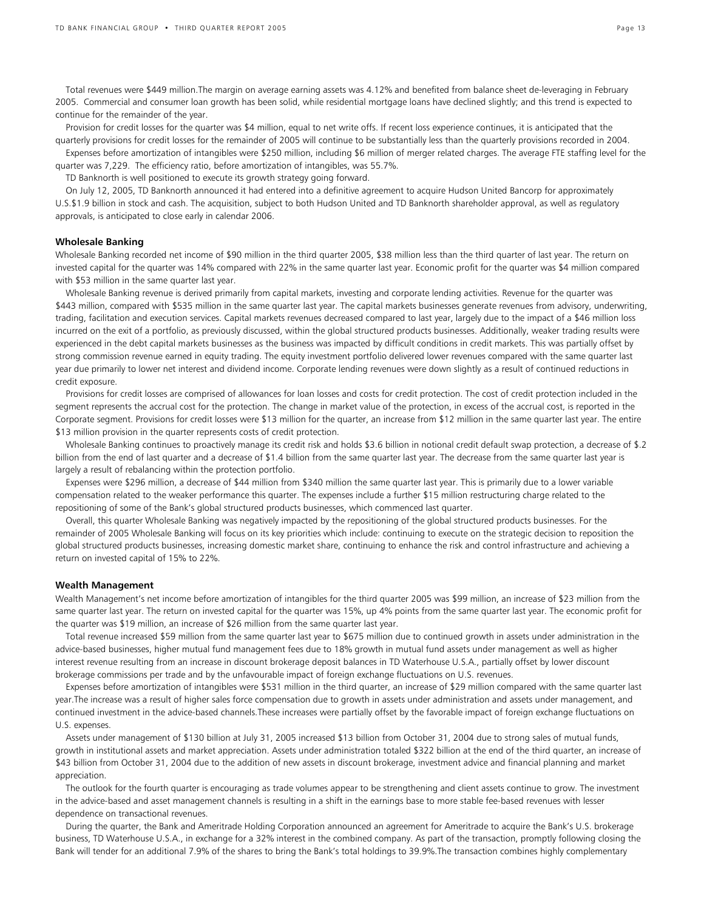Total revenues were \$449 million.The margin on average earning assets was 4.12% and benefited from balance sheet de-leveraging in February 2005. Commercial and consumer loan growth has been solid, while residential mortgage loans have declined slightly; and this trend is expected to continue for the remainder of the year.

 Provision for credit losses for the quarter was \$4 million, equal to net write offs. If recent loss experience continues, it is anticipated that the quarterly provisions for credit losses for the remainder of 2005 will continue to be substantially less than the quarterly provisions recorded in 2004.

 Expenses before amortization of intangibles were \$250 million, including \$6 million of merger related charges. The average FTE staffing level for the quarter was 7,229. The efficiency ratio, before amortization of intangibles, was 55.7%.

TD Banknorth is well positioned to execute its growth strategy going forward.

 On July 12, 2005, TD Banknorth announced it had entered into a definitive agreement to acquire Hudson United Bancorp for approximately U.S.\$1.9 billion in stock and cash. The acquisition, subject to both Hudson United and TD Banknorth shareholder approval, as well as regulatory approvals, is anticipated to close early in calendar 2006.

#### **Wholesale Banking**

Wholesale Banking recorded net income of \$90 million in the third quarter 2005, \$38 million less than the third quarter of last year. The return on invested capital for the quarter was 14% compared with 22% in the same quarter last year. Economic profit for the quarter was \$4 million compared with \$53 million in the same quarter last year.

 Wholesale Banking revenue is derived primarily from capital markets, investing and corporate lending activities. Revenue for the quarter was \$443 million, compared with \$535 million in the same quarter last year. The capital markets businesses generate revenues from advisory, underwriting, trading, facilitation and execution services. Capital markets revenues decreased compared to last year, largely due to the impact of a \$46 million loss incurred on the exit of a portfolio, as previously discussed, within the global structured products businesses. Additionally, weaker trading results were experienced in the debt capital markets businesses as the business was impacted by difficult conditions in credit markets. This was partially offset by strong commission revenue earned in equity trading. The equity investment portfolio delivered lower revenues compared with the same quarter last year due primarily to lower net interest and dividend income. Corporate lending revenues were down slightly as a result of continued reductions in credit exposure.

 Provisions for credit losses are comprised of allowances for loan losses and costs for credit protection. The cost of credit protection included in the segment represents the accrual cost for the protection. The change in market value of the protection, in excess of the accrual cost, is reported in the Corporate segment. Provisions for credit losses were \$13 million for the quarter, an increase from \$12 million in the same quarter last year. The entire \$13 million provision in the quarter represents costs of credit protection.

 Wholesale Banking continues to proactively manage its credit risk and holds \$3.6 billion in notional credit default swap protection, a decrease of \$.2 billion from the end of last quarter and a decrease of \$1.4 billion from the same quarter last year. The decrease from the same quarter last year is largely a result of rebalancing within the protection portfolio.

 Expenses were \$296 million, a decrease of \$44 million from \$340 million the same quarter last year. This is primarily due to a lower variable compensation related to the weaker performance this quarter. The expenses include a further \$15 million restructuring charge related to the repositioning of some of the Bank's global structured products businesses, which commenced last quarter.

 Overall, this quarter Wholesale Banking was negatively impacted by the repositioning of the global structured products businesses. For the remainder of 2005 Wholesale Banking will focus on its key priorities which include: continuing to execute on the strategic decision to reposition the global structured products businesses, increasing domestic market share, continuing to enhance the risk and control infrastructure and achieving a return on invested capital of 15% to 22%.

#### **Wealth Management**

Wealth Management's net income before amortization of intangibles for the third quarter 2005 was \$99 million, an increase of \$23 million from the same quarter last year. The return on invested capital for the quarter was 15%, up 4% points from the same quarter last year. The economic profit for the quarter was \$19 million, an increase of \$26 million from the same quarter last year.

 Total revenue increased \$59 million from the same quarter last year to \$675 million due to continued growth in assets under administration in the advice-based businesses, higher mutual fund management fees due to 18% growth in mutual fund assets under management as well as higher interest revenue resulting from an increase in discount brokerage deposit balances in TD Waterhouse U.S.A., partially offset by lower discount brokerage commissions per trade and by the unfavourable impact of foreign exchange fluctuations on U.S. revenues.

 Expenses before amortization of intangibles were \$531 million in the third quarter, an increase of \$29 million compared with the same quarter last year.The increase was a result of higher sales force compensation due to growth in assets under administration and assets under management, and continued investment in the advice-based channels.These increases were partially offset by the favorable impact of foreign exchange fluctuations on U.S. expenses.

 Assets under management of \$130 billion at July 31, 2005 increased \$13 billion from October 31, 2004 due to strong sales of mutual funds, growth in institutional assets and market appreciation. Assets under administration totaled \$322 billion at the end of the third quarter, an increase of \$43 billion from October 31, 2004 due to the addition of new assets in discount brokerage, investment advice and financial planning and market appreciation.

 The outlook for the fourth quarter is encouraging as trade volumes appear to be strengthening and client assets continue to grow. The investment in the advice-based and asset management channels is resulting in a shift in the earnings base to more stable fee-based revenues with lesser dependence on transactional revenues.

During the quarter, the Bank and Ameritrade Holding Corporation announced an agreement for Ameritrade to acquire the Bank's U.S. brokerage business, TD Waterhouse U.S.A., in exchange for a 32% interest in the combined company. As part of the transaction, promptly following closing the Bank will tender for an additional 7.9% of the shares to bring the Bank's total holdings to 39.9%.The transaction combines highly complementary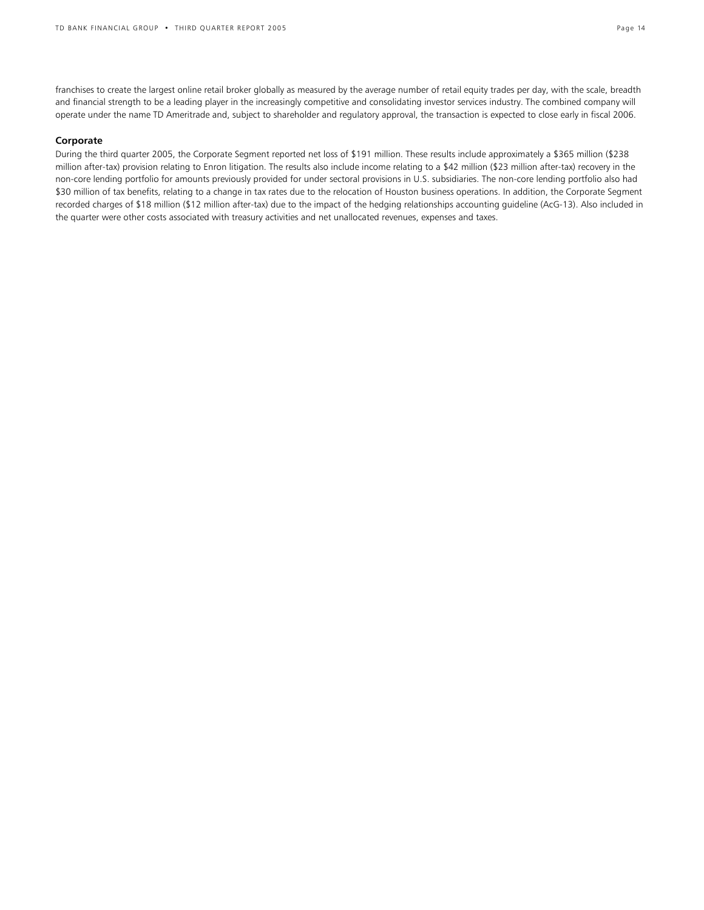franchises to create the largest online retail broker globally as measured by the average number of retail equity trades per day, with the scale, breadth and financial strength to be a leading player in the increasingly competitive and consolidating investor services industry. The combined company will operate under the name TD Ameritrade and, subject to shareholder and regulatory approval, the transaction is expected to close early in fiscal 2006.

### **Corporate**

During the third quarter 2005, the Corporate Segment reported net loss of \$191 million. These results include approximately a \$365 million (\$238 million after-tax) provision relating to Enron litigation. The results also include income relating to a \$42 million (\$23 million after-tax) recovery in the non-core lending portfolio for amounts previously provided for under sectoral provisions in U.S. subsidiaries. The non-core lending portfolio also had \$30 million of tax benefits, relating to a change in tax rates due to the relocation of Houston business operations. In addition, the Corporate Segment recorded charges of \$18 million (\$12 million after-tax) due to the impact of the hedging relationships accounting guideline (AcG-13). Also included in the quarter were other costs associated with treasury activities and net unallocated revenues, expenses and taxes.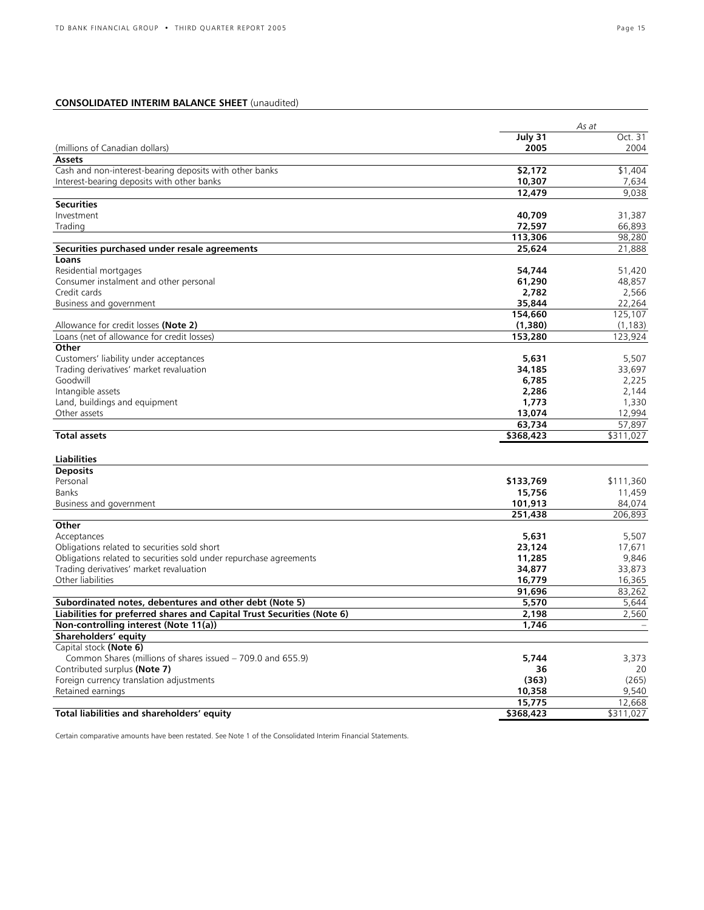### **CONSOLIDATED INTERIM BALANCE SHEET** (unaudited)

|                                                                        |           | As at                 |
|------------------------------------------------------------------------|-----------|-----------------------|
|                                                                        | July 31   | Oct. 31               |
| (millions of Canadian dollars)                                         | 2005      | 2004                  |
| <b>Assets</b>                                                          |           |                       |
| Cash and non-interest-bearing deposits with other banks                | \$2,172   | \$1,404               |
| Interest-bearing deposits with other banks                             | 10,307    | 7,634                 |
|                                                                        | 12,479    | 9,038                 |
| <b>Securities</b>                                                      |           |                       |
| Investment                                                             | 40,709    | 31,387                |
| Trading                                                                | 72,597    | 66,893                |
|                                                                        | 113,306   | 98,280                |
| Securities purchased under resale agreements                           | 25,624    | 21,888                |
| Loans                                                                  |           |                       |
| Residential mortgages                                                  | 54,744    | 51,420                |
| Consumer instalment and other personal                                 | 61,290    | 48,857                |
| Credit cards                                                           | 2,782     | 2,566                 |
| Business and government                                                | 35,844    | 22,264                |
|                                                                        | 154,660   | 125,107               |
| Allowance for credit losses (Note 2)                                   | (1,380)   | (1, 183)              |
| Loans (net of allowance for credit losses)                             | 153,280   | 123,924               |
| Other                                                                  |           |                       |
| Customers' liability under acceptances                                 | 5,631     | 5,507                 |
| Trading derivatives' market revaluation                                | 34,185    | 33,697                |
| Goodwill                                                               | 6,785     | 2,225                 |
| Intangible assets                                                      | 2,286     | 2,144                 |
| Land, buildings and equipment                                          | 1,773     | 1,330                 |
| Other assets                                                           | 13,074    | 12,994                |
|                                                                        | 63,734    | 57,897                |
| <b>Total assets</b>                                                    | \$368,423 | \$311,027             |
| <b>Liabilities</b>                                                     |           |                       |
| <b>Deposits</b>                                                        |           |                       |
| Personal                                                               | \$133,769 | \$111,360             |
| Banks                                                                  | 15,756    | 11,459                |
| Business and government                                                | 101,913   | 84,074                |
|                                                                        | 251,438   | 206,893               |
| Other                                                                  |           |                       |
| Acceptances                                                            | 5,631     | 5,507                 |
| Obligations related to securities sold short                           | 23,124    | 17,671                |
| Obligations related to securities sold under repurchase agreements     | 11,285    | 9,846                 |
| Trading derivatives' market revaluation                                | 34,877    | 33,873                |
| Other liabilities                                                      | 16,779    | 16,365                |
|                                                                        | 91,696    | 83,262                |
| Subordinated notes, debentures and other debt (Note 5)                 | 5,570     | 5.644                 |
| Liabilities for preferred shares and Capital Trust Securities (Note 6) | 2,198     | 2,560                 |
| Non-controlling interest (Note 11(a))                                  | 1,746     |                       |
| Shareholders' equity                                                   |           |                       |
| Capital stock (Note 6)                                                 |           |                       |
| Common Shares (millions of shares issued - 709.0 and 655.9)            | 5,744     | 3,373                 |
| Contributed surplus (Note 7)                                           | 36        | 20                    |
| Foreign currency translation adjustments                               | (363)     | (265)                 |
| Retained earnings                                                      | 10,358    | 9,540                 |
|                                                                        | 15,775    | 12,668                |
| Total liabilities and shareholders' equity                             | \$368,423 | $\overline{$}311,027$ |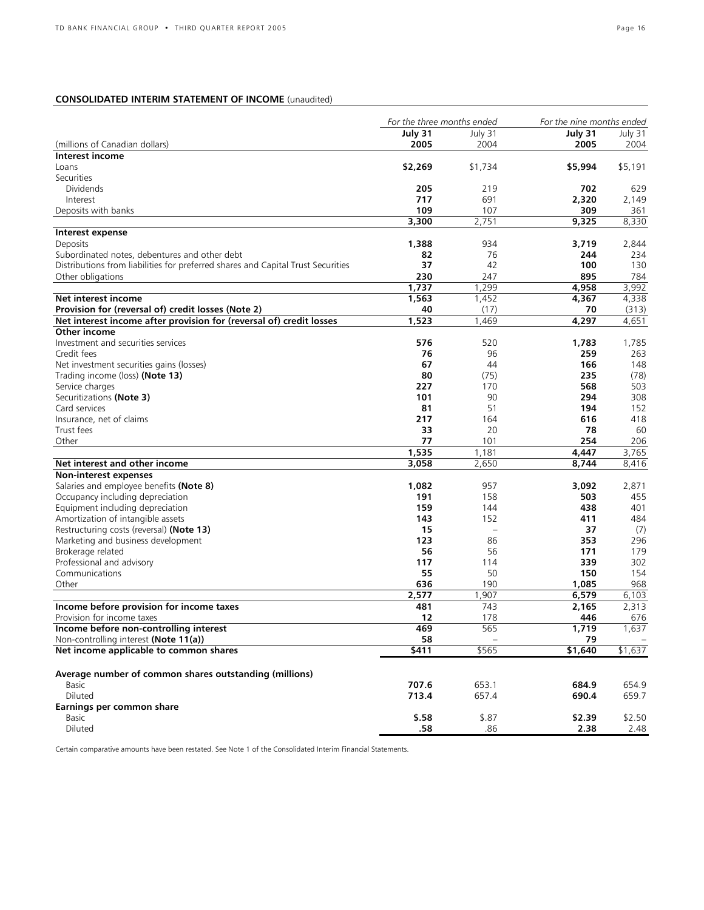### **CONSOLIDATED INTERIM STATEMENT OF INCOME** (unaudited)

|                                                                                  | For the three months ended |          | For the nine months ended |         |  |
|----------------------------------------------------------------------------------|----------------------------|----------|---------------------------|---------|--|
|                                                                                  | July 31                    | July 31  | July 31                   | July 31 |  |
| (millions of Canadian dollars)                                                   | 2005                       | 2004     | 2005                      | 2004    |  |
| Interest income                                                                  |                            |          |                           |         |  |
| Loans                                                                            | \$2,269                    | \$1,734  | \$5,994                   | \$5,191 |  |
| <b>Securities</b>                                                                |                            |          |                           |         |  |
| <b>Dividends</b>                                                                 | 205                        | 219      | 702                       | 629     |  |
| Interest                                                                         | 717                        | 691      | 2,320                     | 2,149   |  |
| Deposits with banks                                                              | 109                        | 107      | 309                       | 361     |  |
|                                                                                  | 3,300                      | 2,751    | 9,325                     | 8,330   |  |
| Interest expense                                                                 |                            |          |                           |         |  |
| Deposits                                                                         | 1,388                      | 934      | 3,719                     | 2,844   |  |
| Subordinated notes, debentures and other debt                                    | 82                         | 76       | 244                       | 234     |  |
| Distributions from liabilities for preferred shares and Capital Trust Securities | 37                         | 42       | 100                       | 130     |  |
| Other obligations                                                                | 230                        | 247      | 895                       | 784     |  |
|                                                                                  | 1,737                      | 1,299    | 4,958                     | 3.992   |  |
|                                                                                  |                            |          |                           |         |  |
| Net interest income                                                              | 1,563                      | 1,452    | 4,367                     | 4,338   |  |
| Provision for (reversal of) credit losses (Note 2)                               | 40                         | (17)     | 70                        | (313)   |  |
| Net interest income after provision for (reversal of) credit losses              | 1,523                      | 1,469    | 4,297                     | 4,651   |  |
| Other income                                                                     |                            |          |                           |         |  |
| Investment and securities services                                               | 576                        | 520      | 1,783                     | 1,785   |  |
| Credit fees                                                                      | 76                         | 96       | 259                       | 263     |  |
| Net investment securities gains (losses)                                         | 67                         | 44       | 166                       | 148     |  |
| Trading income (loss) (Note 13)                                                  | 80                         | (75)     | 235                       | (78)    |  |
| Service charges                                                                  | 227                        | 170      | 568                       | 503     |  |
| Securitizations (Note 3)                                                         | 101                        | 90       | 294                       | 308     |  |
| Card services                                                                    | 81                         | 51       | 194                       | 152     |  |
| Insurance, net of claims                                                         | 217                        | 164      | 616                       | 418     |  |
| Trust fees                                                                       | 33                         | 20       | 78                        | 60      |  |
| Other                                                                            | 77                         | 101      | 254                       | 206     |  |
|                                                                                  | 1,535                      | 1,181    | 4,447                     | 3,765   |  |
| Net interest and other income                                                    | 3,058                      | 2,650    | 8,744                     | 8,416   |  |
| Non-interest expenses                                                            |                            |          |                           |         |  |
| Salaries and employee benefits (Note 8)                                          | 1,082                      | 957      | 3,092                     | 2,871   |  |
| Occupancy including depreciation                                                 | 191                        | 158      | 503                       | 455     |  |
| Equipment including depreciation                                                 | 159                        | 144      | 438                       | 401     |  |
| Amortization of intangible assets                                                | 143                        | 152      | 411                       | 484     |  |
| Restructuring costs (reversal) (Note 13)                                         | 15                         | $\equiv$ | 37                        | (7)     |  |
| Marketing and business development                                               | 123                        | 86       | 353                       | 296     |  |
| Brokerage related                                                                | 56                         | 56       | 171                       | 179     |  |
| Professional and advisory                                                        | 117                        | 114      | 339                       | 302     |  |
| Communications                                                                   | 55                         | 50       | 150                       | 154     |  |
| Other                                                                            | 636                        | 190      | 1,085                     | 968     |  |
|                                                                                  | 2,577                      | 1,907    | 6,579                     | 6,103   |  |
| Income before provision for income taxes                                         | 481                        | 743      | 2,165                     | 2,313   |  |
| Provision for income taxes                                                       | 12                         | 178      | 446                       | 676     |  |
| Income before non-controlling interest                                           | 469                        | 565      | 1,719                     | 1,637   |  |
| Non-controlling interest (Note 11(a))                                            | 58                         |          | 79                        |         |  |
| Net income applicable to common shares                                           | \$411                      | \$565    | \$1,640                   | \$1,637 |  |
|                                                                                  |                            |          |                           |         |  |
| Average number of common shares outstanding (millions)                           |                            |          |                           |         |  |
| Basic                                                                            | 707.6                      | 653.1    | 684.9                     | 654.9   |  |
| Diluted                                                                          | 713.4                      | 657.4    | 690.4                     | 659.7   |  |
| Earnings per common share                                                        |                            |          |                           |         |  |
| Basic                                                                            | \$.58                      | \$.87    | \$2.39                    | \$2.50  |  |
| Diluted                                                                          | .58                        | .86      | 2.38                      | 2.48    |  |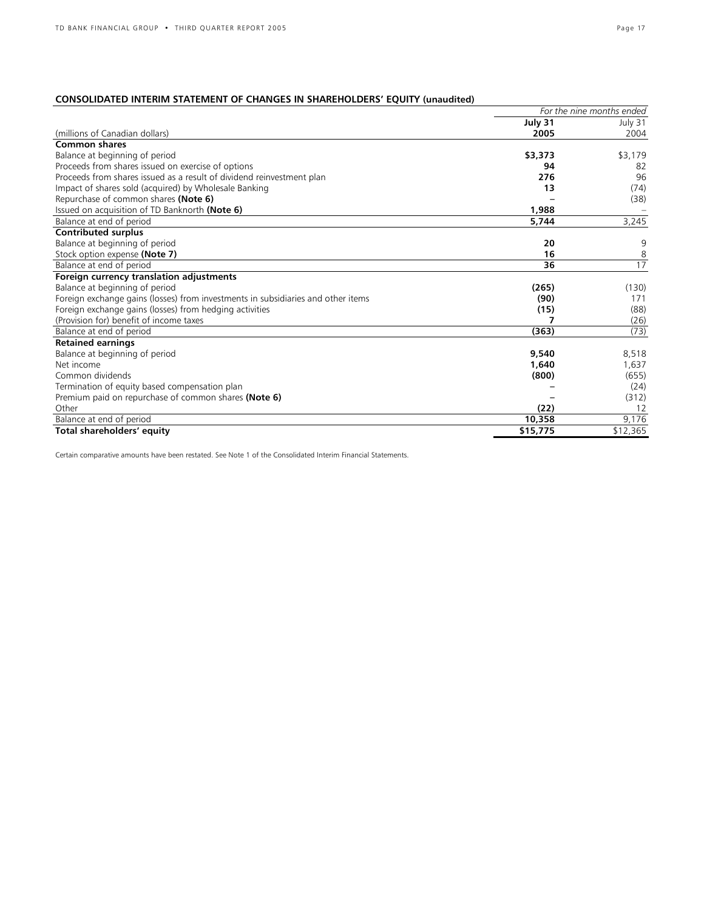### **CONSOLIDATED INTERIM STATEMENT OF CHANGES IN SHAREHOLDERS' EQUITY (unaudited)**

|                                                                                  | For the nine months ended |          |
|----------------------------------------------------------------------------------|---------------------------|----------|
|                                                                                  | July 31                   | July 31  |
| (millions of Canadian dollars)                                                   | 2005                      | 2004     |
| <b>Common shares</b>                                                             |                           |          |
| Balance at beginning of period                                                   | \$3,373                   | \$3,179  |
| Proceeds from shares issued on exercise of options                               | 94                        | 82       |
| Proceeds from shares issued as a result of dividend reinvestment plan            | 276                       | 96       |
| Impact of shares sold (acquired) by Wholesale Banking                            | 13                        | (74)     |
| Repurchase of common shares (Note 6)                                             |                           | (38)     |
| Issued on acquisition of TD Banknorth (Note 6)                                   | 1,988                     |          |
| Balance at end of period                                                         | 5,744                     | 3,245    |
| <b>Contributed surplus</b>                                                       |                           |          |
| Balance at beginning of period                                                   | 20                        | 9        |
| Stock option expense (Note 7)                                                    | 16                        | 8        |
| Balance at end of period                                                         | 36                        | 17       |
| Foreign currency translation adjustments                                         |                           |          |
| Balance at beginning of period                                                   | (265)                     | (130)    |
| Foreign exchange gains (losses) from investments in subsidiaries and other items | (90)                      | 171      |
| Foreign exchange gains (losses) from hedging activities                          | (15)                      | (88)     |
| (Provision for) benefit of income taxes                                          | 7                         | (26)     |
| Balance at end of period                                                         | (363)                     | (73)     |
| <b>Retained earnings</b>                                                         |                           |          |
| Balance at beginning of period                                                   | 9,540                     | 8,518    |
| Net income                                                                       | 1,640                     | 1,637    |
| Common dividends                                                                 | (800)                     | (655)    |
| Termination of equity based compensation plan                                    |                           | (24)     |
| Premium paid on repurchase of common shares (Note 6)                             |                           | (312)    |
| Other                                                                            | (22)                      | 12       |
| Balance at end of period                                                         | 10,358                    | 9,176    |
| Total shareholders' equity                                                       | \$15,775                  | \$12,365 |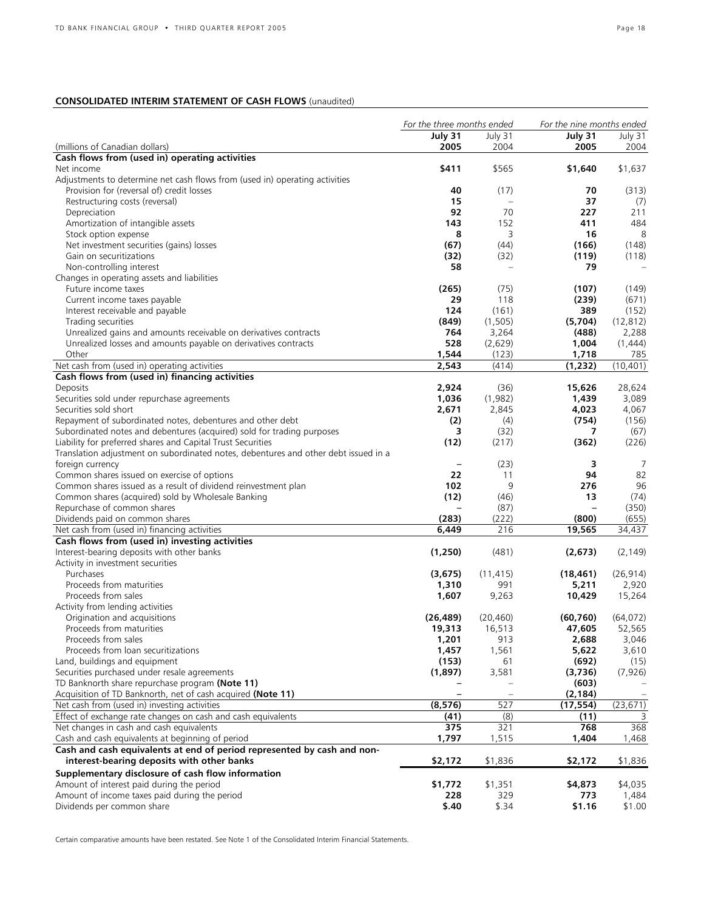### **CONSOLIDATED INTERIM STATEMENT OF CASH FLOWS** (unaudited)

|                                                                                                               | For the three months ended |                          | For the nine months ended |               |
|---------------------------------------------------------------------------------------------------------------|----------------------------|--------------------------|---------------------------|---------------|
|                                                                                                               | July 31                    | July 31                  | July 31                   | July 31       |
| (millions of Canadian dollars)                                                                                | 2005                       | 2004                     | 2005                      | 2004          |
| Cash flows from (used in) operating activities                                                                |                            |                          |                           |               |
| Net income                                                                                                    | \$411                      | \$565                    | \$1,640                   | \$1,637       |
| Adjustments to determine net cash flows from (used in) operating activities                                   |                            |                          |                           |               |
| Provision for (reversal of) credit losses                                                                     | 40                         | (17)                     | 70                        | (313)         |
| Restructuring costs (reversal)                                                                                | 15                         | $\overline{\phantom{0}}$ | 37                        | (7)           |
| Depreciation                                                                                                  | 92                         | 70                       | 227                       | 211           |
| Amortization of intangible assets                                                                             | 143                        | 152                      | 411                       | 484           |
| Stock option expense                                                                                          | 8                          | 3                        | 16                        | 8             |
| Net investment securities (gains) losses                                                                      | (67)                       | (44)                     | (166)                     | (148)         |
| Gain on securitizations                                                                                       | (32)                       | (32)                     | (119)                     | (118)         |
| Non-controlling interest                                                                                      | 58                         |                          | 79                        |               |
| Changes in operating assets and liabilities                                                                   |                            |                          |                           |               |
| Future income taxes                                                                                           | (265)                      | (75)                     | (107)                     | (149)         |
| Current income taxes payable                                                                                  | 29                         | 118                      | (239)                     | (671)         |
| Interest receivable and payable                                                                               | 124                        | (161)                    | 389                       | (152)         |
| Trading securities                                                                                            | (849)                      | (1, 505)                 | (5,704)                   | (12, 812)     |
| Unrealized gains and amounts receivable on derivatives contracts                                              | 764                        | 3,264                    | (488)                     | 2,288         |
| Unrealized losses and amounts payable on derivatives contracts                                                | 528                        | (2,629)                  | 1,004                     | (1,444)       |
| Other                                                                                                         | 1,544                      | (123)                    | 1,718                     | 785           |
| Net cash from (used in) operating activities                                                                  | 2,543                      | (414)                    | (1, 232)                  | (10, 401)     |
| Cash flows from (used in) financing activities                                                                |                            |                          |                           |               |
|                                                                                                               | 2,924                      |                          | 15,626                    | 28,624        |
| Deposits<br>Securities sold under repurchase agreements                                                       | 1,036                      | (36)                     | 1,439                     | 3,089         |
| Securities sold short                                                                                         | 2,671                      | (1,982)<br>2,845         | 4,023                     | 4,067         |
| Repayment of subordinated notes, debentures and other debt                                                    |                            |                          | (754)                     | (156)         |
|                                                                                                               | (2)<br>3                   | (4)                      | 7                         |               |
| Subordinated notes and debentures (acquired) sold for trading purposes                                        | (12)                       | (32)<br>(217)            | (362)                     | (67)<br>(226) |
| Liability for preferred shares and Capital Trust Securities                                                   |                            |                          |                           |               |
| Translation adjustment on subordinated notes, debentures and other debt issued in a                           |                            |                          | 3                         | 7             |
| foreign currency                                                                                              | $\qquad \qquad -$<br>22    | (23)<br>11               | 94                        | 82            |
| Common shares issued on exercise of options<br>Common shares issued as a result of dividend reinvestment plan | 102                        | 9                        | 276                       | 96            |
|                                                                                                               | (12)                       |                          | 13                        | (74)          |
| Common shares (acquired) sold by Wholesale Banking                                                            |                            | (46)                     | $\qquad \qquad -$         | (350)         |
| Repurchase of common shares                                                                                   | $\qquad \qquad -$          | (87)                     |                           |               |
| Dividends paid on common shares                                                                               | (283)                      | (222)                    | (800)                     | (655)         |
| Net cash from (used in) financing activities                                                                  | 6,449                      | 216                      | 19,565                    | 34,437        |
| Cash flows from (used in) investing activities                                                                |                            |                          |                           |               |
| Interest-bearing deposits with other banks                                                                    | (1,250)                    | (481)                    | (2,673)                   | (2, 149)      |
| Activity in investment securities                                                                             |                            |                          |                           |               |
| Purchases                                                                                                     | (3,675)                    | (11, 415)                | (18, 461)                 | (26, 914)     |
| Proceeds from maturities                                                                                      | 1,310                      | 991                      | 5,211                     | 2,920         |
| Proceeds from sales                                                                                           | 1,607                      | 9,263                    | 10,429                    | 15,264        |
| Activity from lending activities                                                                              |                            |                          |                           |               |
| Origination and acquisitions                                                                                  | (26, 489)                  | (20, 460)                | (60, 760)                 | (64, 072)     |
| Proceeds from maturities                                                                                      | 19,313                     | 16,513                   | 47,605                    | 52,565        |
| Proceeds from sales                                                                                           | 1,201                      | 913                      | 2,688                     | 3,046         |
| Proceeds from loan securitizations                                                                            | 1,457                      | 1,561                    | 5,622                     | 3,610         |
| Land, buildings and equipment                                                                                 | (153)                      | 61                       | (692)                     | (15)          |
| Securities purchased under resale agreements                                                                  | (1,897)                    | 3,581                    | (3,736)                   | (7, 926)      |
| TD Banknorth share repurchase program (Note 11)                                                               |                            |                          | (603)                     |               |
| Acquisition of TD Banknorth, net of cash acquired (Note 11)                                                   | $\qquad \qquad -$          | $\overline{\phantom{0}}$ | (2, 184)                  |               |
| Net cash from (used in) investing activities                                                                  | (8,576)                    | 527                      | (17, 554)                 | (23, 671)     |
| Effect of exchange rate changes on cash and cash equivalents                                                  | (41)                       | (8)                      | (11)                      | 3             |
| Net changes in cash and cash equivalents                                                                      | 375                        | 321                      | 768                       | 368           |
| Cash and cash equivalents at beginning of period                                                              | 1,797                      | 1,515                    | 1,404                     | 1,468         |
| Cash and cash equivalents at end of period represented by cash and non-                                       |                            |                          |                           |               |
| interest-bearing deposits with other banks                                                                    | \$2,172                    | \$1,836                  | \$2,172                   | \$1,836       |
| Supplementary disclosure of cash flow information                                                             |                            |                          |                           |               |
| Amount of interest paid during the period                                                                     | \$1,772                    | \$1,351                  | \$4,873                   | \$4,035       |
| Amount of income taxes paid during the period                                                                 | 228                        | 329                      | 773                       | 1,484         |
| Dividends per common share                                                                                    | \$.40                      | \$.34                    | \$1.16                    | \$1.00        |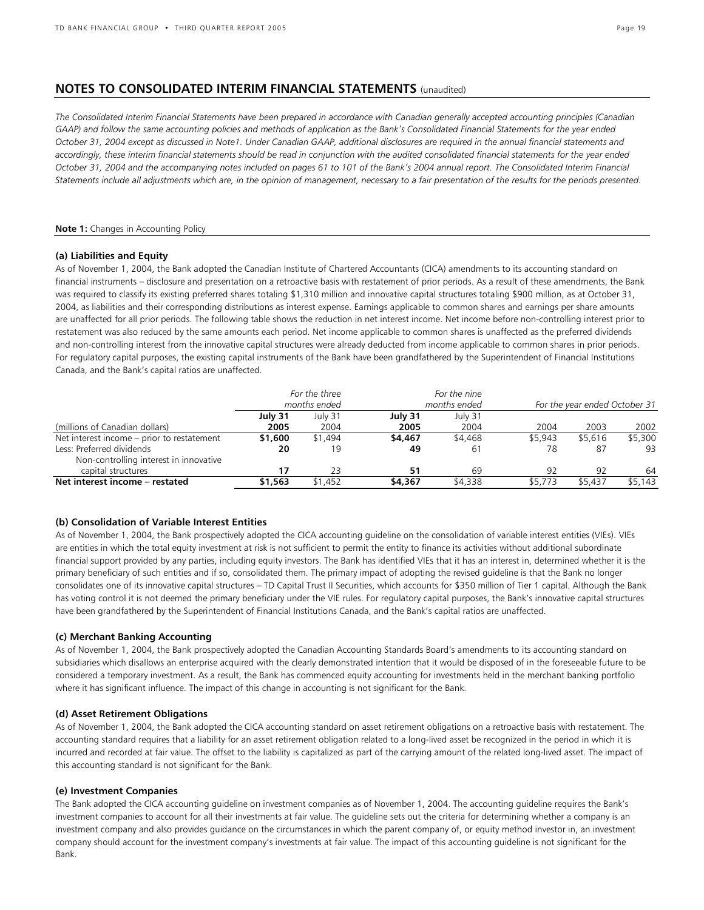### **NOTES TO CONSOLIDATED INTERIM FINANCIAL STATEMENTS** (unaudited)

The Consolidated Interim Financial Statements have been prepared in accordance with Canadian generally accepted accounting principles (Canadian *GAAP) and follow the same accounting policies and methods of application as the Bank's Consolidated Financial Statements for the year ended October 31, 2004 except as discussed in Note1. Under Canadian GAAP, additional disclosures are required in the annual financial statements and accordingly, these interim financial statements should be read in conjunction with the audited consolidated financial statements for the year ended October 31, 2004 and the accompanying notes included on pages 61 to 101 of the Bank's 2004 annual report. The Consolidated Interim Financial Statements include all adjustments which are, in the opinion of management, necessary to a fair presentation of the results for the periods presented.* 

### **Note 1:** Changes in Accounting Policy

### **(a) Liabilities and Equity**

As of November 1, 2004, the Bank adopted the Canadian Institute of Chartered Accountants (CICA) amendments to its accounting standard on financial instruments – disclosure and presentation on a retroactive basis with restatement of prior periods. As a result of these amendments, the Bank was required to classify its existing preferred shares totaling \$1,310 million and innovative capital structures totaling \$900 million, as at October 31, 2004, as liabilities and their corresponding distributions as interest expense. Earnings applicable to common shares and earnings per share amounts are unaffected for all prior periods. The following table shows the reduction in net interest income. Net income before non-controlling interest prior to restatement was also reduced by the same amounts each period. Net income applicable to common shares is unaffected as the preferred dividends and non-controlling interest from the innovative capital structures were already deducted from income applicable to common shares in prior periods. For regulatory capital purposes, the existing capital instruments of the Bank have been grandfathered by the Superintendent of Financial Institutions Canada, and the Bank's capital ratios are unaffected.

|                                            | For the three<br>months ended |         | For the nine<br>months ended |         | For the year ended October 31 |         |         |  |
|--------------------------------------------|-------------------------------|---------|------------------------------|---------|-------------------------------|---------|---------|--|
|                                            | July 31                       | July 31 | July 31                      | July 31 |                               |         |         |  |
| (millions of Canadian dollars)             | 2005                          | 2004    | 2005                         | 2004    | 2004                          | 2003    | 2002    |  |
| Net interest income - prior to restatement | \$1,600                       | \$1,494 | \$4,467                      | \$4,468 | \$5,943                       | \$5,616 | \$5,300 |  |
| Less: Preferred dividends                  | 20                            | 19      | 49                           | 61      | 78                            | -87     | 93      |  |
| Non-controlling interest in innovative     |                               |         |                              |         |                               |         |         |  |
| capital structures                         | 17                            | 23      | 51                           | 69      | 92                            | 92      | 64      |  |
| Net interest income - restated             | \$1,563                       | \$1,452 | \$4,367                      | \$4,338 | \$5,773                       | \$5,437 | \$5,143 |  |

### **(b) Consolidation of Variable Interest Entities**

As of November 1, 2004, the Bank prospectively adopted the CICA accounting guideline on the consolidation of variable interest entities (VIEs). VIEs are entities in which the total equity investment at risk is not sufficient to permit the entity to finance its activities without additional subordinate financial support provided by any parties, including equity investors. The Bank has identified VIEs that it has an interest in, determined whether it is the primary beneficiary of such entities and if so, consolidated them. The primary impact of adopting the revised guideline is that the Bank no longer consolidates one of its innovative capital structures – TD Capital Trust II Securities, which accounts for \$350 million of Tier 1 capital. Although the Bank has voting control it is not deemed the primary beneficiary under the VIE rules. For regulatory capital purposes, the Bank's innovative capital structures have been grandfathered by the Superintendent of Financial Institutions Canada, and the Bank's capital ratios are unaffected.

### **(c) Merchant Banking Accounting**

As of November 1, 2004, the Bank prospectively adopted the Canadian Accounting Standards Board's amendments to its accounting standard on subsidiaries which disallows an enterprise acquired with the clearly demonstrated intention that it would be disposed of in the foreseeable future to be considered a temporary investment. As a result, the Bank has commenced equity accounting for investments held in the merchant banking portfolio where it has significant influence. The impact of this change in accounting is not significant for the Bank.

### **(d) Asset Retirement Obligations**

As of November 1, 2004, the Bank adopted the CICA accounting standard on asset retirement obligations on a retroactive basis with restatement. The accounting standard requires that a liability for an asset retirement obligation related to a long-lived asset be recognized in the period in which it is incurred and recorded at fair value. The offset to the liability is capitalized as part of the carrying amount of the related long-lived asset. The impact of this accounting standard is not significant for the Bank.

### **(e) Investment Companies**

The Bank adopted the CICA accounting guideline on investment companies as of November 1, 2004. The accounting guideline requires the Bank's investment companies to account for all their investments at fair value. The guideline sets out the criteria for determining whether a company is an investment company and also provides guidance on the circumstances in which the parent company of, or equity method investor in, an investment company should account for the investment company's investments at fair value. The impact of this accounting guideline is not significant for the Bank.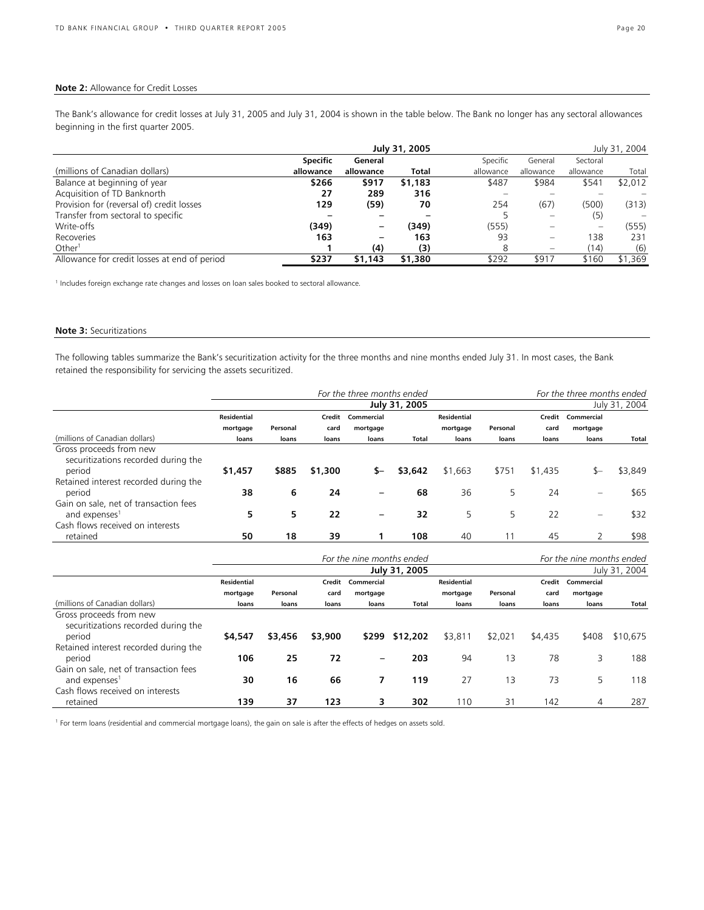### **Note 2:** Allowance for Credit Losses

The Bank's allowance for credit losses at July 31, 2005 and July 31, 2004 is shown in the table below. The Bank no longer has any sectoral allowances beginning in the first quarter 2005.

|                                              | July 31, 2005   |                 |              |           |                          |           | July 31, 2004 |
|----------------------------------------------|-----------------|-----------------|--------------|-----------|--------------------------|-----------|---------------|
|                                              | <b>Specific</b> | General         |              | Specific  | General                  | Sectoral  |               |
| (millions of Canadian dollars)               | allowance       | allowance       | <b>Total</b> | allowance | allowance                | allowance | Total         |
| Balance at beginning of year                 | \$266           | \$917           | \$1,183      | \$487     | \$984                    | \$541     | \$2,012       |
| Acquisition of TD Banknorth                  | 27              | 289             | 316          |           |                          |           |               |
| Provision for (reversal of) credit losses    | 129             | (59)            | 70           | 254       | (67)                     | (500)     | (313)         |
| Transfer from sectoral to specific           |                 |                 |              |           |                          | (5)       |               |
| Write-offs                                   | (349)           | $\qquad \qquad$ | (349)        | (555)     |                          |           | (555)         |
| Recoveries                                   | 163             |                 | 163          | 93        | $\overline{\phantom{0}}$ | 138       | 231           |
| Other <sup>1</sup>                           |                 | (4)             | (3)          |           |                          | (14)      | (6)           |
| Allowance for credit losses at end of period | \$237           | \$1.143         | \$1,380      | \$292     | \$917                    | \$160     | \$1,369       |

1 Includes foreign exchange rate changes and losses on loan sales booked to sectoral allowance.

### **Note 3:** Securitizations

The following tables summarize the Bank's securitization activity for the three months and nine months ended July 31. In most cases, the Bank retained the responsibility for servicing the assets securitized.

|                                                                          |                    | For the three months ended |         |            |               |                    |          |               | For the three months ended |         |  |  |  |
|--------------------------------------------------------------------------|--------------------|----------------------------|---------|------------|---------------|--------------------|----------|---------------|----------------------------|---------|--|--|--|
|                                                                          |                    |                            |         |            | July 31, 2005 |                    |          | July 31, 2004 |                            |         |  |  |  |
|                                                                          | <b>Residential</b> |                            | Credit  | Commercial |               | <b>Residential</b> |          | Credit        | Commercial                 |         |  |  |  |
|                                                                          | mortgage           | Personal                   | card    | mortgage   |               | mortgage           | Personal | card          | mortgage                   |         |  |  |  |
| (millions of Canadian dollars)                                           | loans              | loans                      | loans   | loans      | Total         | loans              | loans    | loans         | loans                      | Total   |  |  |  |
| Gross proceeds from new<br>securitizations recorded during the<br>period | \$1,457            | \$885                      | \$1,300 | S-         | \$3,642       | \$1,663            | \$751    | \$1,435       | $S-$                       | \$3,849 |  |  |  |
| Retained interest recorded during the<br>period                          | 38                 | 6                          | 24      |            | 68            | 36                 | 5        | 24            |                            | \$65    |  |  |  |
| Gain on sale, net of transaction fees<br>and expenses                    | 5                  | 5                          | 22      | -          | 32            | 5                  | 5        | 22            | $\qquad \qquad =$          | \$32    |  |  |  |
| Cash flows received on interests<br>retained                             | 50                 | 18                         | 39      |            | 108           | 40                 | 11       | 45            |                            | \$98    |  |  |  |

|                                       |                    | For the nine months ended<br>For the nine months ended |         |            |               |                    |          |               |            |          |  |
|---------------------------------------|--------------------|--------------------------------------------------------|---------|------------|---------------|--------------------|----------|---------------|------------|----------|--|
|                                       |                    |                                                        |         |            | July 31, 2005 |                    |          | July 31, 2004 |            |          |  |
|                                       | <b>Residential</b> |                                                        | Credit  | Commercial |               | <b>Residential</b> |          | Credit        | Commercial |          |  |
|                                       | mortgage           | Personal                                               | card    | mortgage   |               | mortgage           | Personal | card          | mortgage   |          |  |
| (millions of Canadian dollars)        | loans              | loans                                                  | loans   | loans      | Total         | loans              | loans    | loans         | loans      | Total    |  |
| Gross proceeds from new               |                    |                                                        |         |            |               |                    |          |               |            |          |  |
| securitizations recorded during the   |                    |                                                        |         |            |               |                    |          |               |            |          |  |
| period                                | \$4,547            | \$3,456                                                | \$3,900 | \$299      | \$12,202      | \$3,811            | \$2,021  | \$4,435       | \$408      | \$10,675 |  |
| Retained interest recorded during the |                    |                                                        |         |            |               |                    |          |               |            |          |  |
| period                                | 106                | 25                                                     | 72      | -          | 203           | 94                 | 13       | 78            | 3          | 188      |  |
| Gain on sale, net of transaction fees |                    |                                                        |         |            |               |                    |          |               |            |          |  |
| and expenses <sup>1</sup>             | 30                 | 16                                                     | 66      | 7          | 119           | 27                 | 13       | 73            | 5          | 118      |  |
| Cash flows received on interests      |                    |                                                        |         |            |               |                    |          |               |            |          |  |
| retained                              | 139                | 37                                                     | 123     | 3          | 302           | 110                | 31       | 142           | 4          | 287      |  |

<sup>1</sup> For term loans (residential and commercial mortgage loans), the gain on sale is after the effects of hedges on assets sold.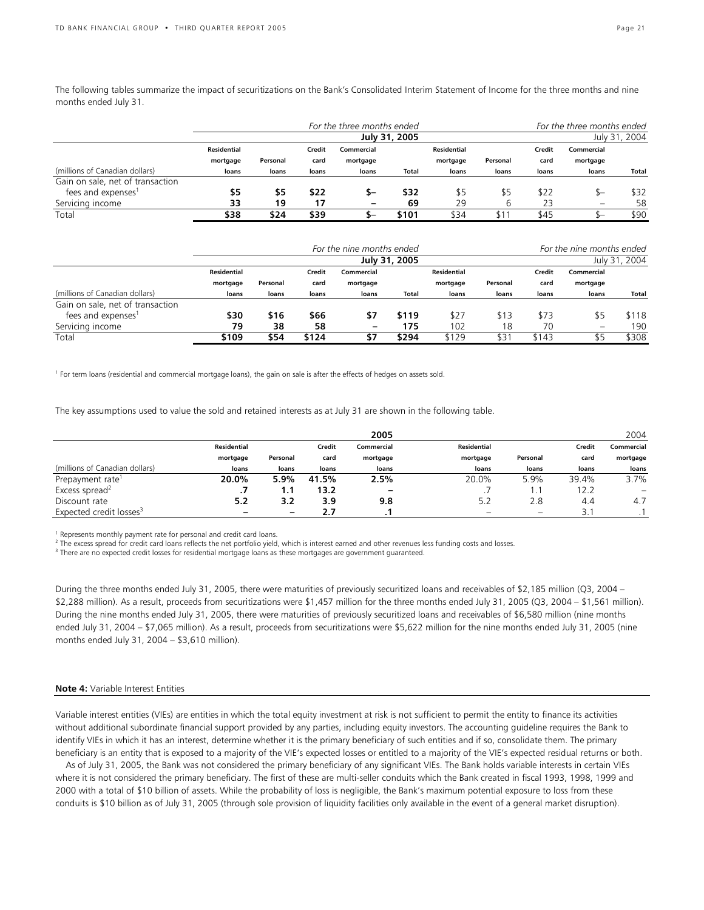The following tables summarize the impact of securitizations on the Bank's Consolidated Interim Statement of Income for the three months and nine months ended July 31.

|                                  |                    | For the three months ended |        |                 |       |                    |          | For the three months ended |            |               |  |  |  |
|----------------------------------|--------------------|----------------------------|--------|-----------------|-------|--------------------|----------|----------------------------|------------|---------------|--|--|--|
|                                  |                    | July 31, 2005              |        |                 |       |                    |          |                            |            | July 31, 2004 |  |  |  |
|                                  | <b>Residential</b> |                            | Credit | Commercial      |       | <b>Residential</b> |          | Credit                     | Commercial |               |  |  |  |
|                                  | mortgage           | Personal                   | card   | mortgage        |       | mortgage           | Personal | card                       | mortgage   |               |  |  |  |
| (millions of Canadian dollars)   | loans              | loans                      | loans  | loans           | Total | loans              | loans    | loans                      | loans      | Total         |  |  |  |
| Gain on sale, net of transaction |                    |                            |        |                 |       |                    |          |                            |            |               |  |  |  |
| fees and expenses <sup>1</sup>   | \$5                | \$5                        | \$22   |                 | \$32  | \$5                | \$5      | \$22                       | እ—         | \$32          |  |  |  |
| Servicing income                 | 33                 | 19                         |        | $\qquad \qquad$ | 69    | 29                 | b        | 23                         |            | 58            |  |  |  |
| Total                            | \$38               | \$24                       | \$39   | —ב              | \$101 | \$34               | \$1      | \$45                       |            | \$90          |  |  |  |

|                                  |             | For the nine months ended |        |            |       |                    |          |        | For the nine months ended |               |  |  |  |
|----------------------------------|-------------|---------------------------|--------|------------|-------|--------------------|----------|--------|---------------------------|---------------|--|--|--|
|                                  |             | July 31, 2005             |        |            |       |                    |          |        |                           | July 31, 2004 |  |  |  |
|                                  | Residential |                           | Credit | Commercial |       | <b>Residential</b> |          | Credit | Commercial                |               |  |  |  |
|                                  | mortgage    | Personal                  | card   | mortgage   |       | mortgage           | Personal | card   | mortgage                  |               |  |  |  |
| (millions of Canadian dollars)   | loans       | loans                     | loans  | loans      | Total | loans              | loans    | loans  | loans                     | Total         |  |  |  |
| Gain on sale, net of transaction |             |                           |        |            |       |                    |          |        |                           |               |  |  |  |
| fees and expenses <sup>1</sup>   | \$30        | \$16                      | \$66   | \$7        | \$119 | \$27               | \$13     | \$73   |                           | \$118         |  |  |  |
| Servicing income                 | 79          | 38                        | 58     | -          | 175   | 102                | 18       | 70     |                           | 190           |  |  |  |
| Total                            | \$109       | \$54                      | \$124  | \$7        | \$294 | \$129              | \$3'     | \$143  |                           | \$308         |  |  |  |

1 For term loans (residential and commercial mortgage loans), the gain on sale is after the effects of hedges on assets sold.

The key assumptions used to value the sold and retained interests as at July 31 are shown in the following table.

|                                     |             |          |        | 2005                     |                    |          |        | 2004       |
|-------------------------------------|-------------|----------|--------|--------------------------|--------------------|----------|--------|------------|
|                                     | Residential |          | Credit | Commercial               | <b>Residential</b> |          | Credit | Commercial |
|                                     | mortgage    | Personal | card   | mortgage                 | mortgage           | Personal | card   | mortgage   |
| (millions of Canadian dollars)      | loans       | loans    | loans  | loans                    | loans              | loans    | loans  | loans      |
| Prepayment rate <sup>1</sup>        | 20.0%       | 5.9%     | 41.5%  | 2.5%                     | 20.0%              | 5.9%     | 39.4%  | 3.7%       |
| Excess spread <sup>2</sup>          | $\cdot$     | 1.1      | 13.2   | $\overline{\phantom{m}}$ |                    |          | 12.2   | -          |
| Discount rate                       | 5.2         | 3.2      | 3.9    | 9.8                      | 5.2                | 2.8      | 4.4    | 4.7        |
| Expected credit losses <sup>3</sup> |             |          |        |                          |                    | -        |        |            |

<sup>1</sup> Represents monthly payment rate for personal and credit card loans.

 $^2$  The excess spread for credit card loans reflects the net portfolio yield, which is interest earned and other revenues less funding costs and losses.<br><sup>3</sup> There are no expected credit lesses for residential mertaage lo

<sup>3</sup> There are no expected credit losses for residential mortgage loans as these mortgages are government guaranteed.

During the three months ended July 31, 2005, there were maturities of previously securitized loans and receivables of \$2,185 million (Q3, 2004 – \$2,288 million). As a result, proceeds from securitizations were \$1,457 million for the three months ended July 31, 2005 (Q3, 2004 – \$1,561 million). During the nine months ended July 31, 2005, there were maturities of previously securitized loans and receivables of \$6,580 million (nine months ended July 31, 2004 – \$7,065 million). As a result, proceeds from securitizations were \$5,622 million for the nine months ended July 31, 2005 (nine months ended July 31, 2004 – \$3,610 million).

#### **Note 4:** Variable Interest Entities

Variable interest entities (VIEs) are entities in which the total equity investment at risk is not sufficient to permit the entity to finance its activities without additional subordinate financial support provided by any parties, including equity investors. The accounting guideline requires the Bank to identify VIEs in which it has an interest, determine whether it is the primary beneficiary of such entities and if so, consolidate them. The primary beneficiary is an entity that is exposed to a majority of the VIE's expected losses or entitled to a majority of the VIE's expected residual returns or both.

 As of July 31, 2005, the Bank was not considered the primary beneficiary of any significant VIEs. The Bank holds variable interests in certain VIEs where it is not considered the primary beneficiary. The first of these are multi-seller conduits which the Bank created in fiscal 1993, 1998, 1999 and 2000 with a total of \$10 billion of assets. While the probability of loss is negligible, the Bank's maximum potential exposure to loss from these conduits is \$10 billion as of July 31, 2005 (through sole provision of liquidity facilities only available in the event of a general market disruption).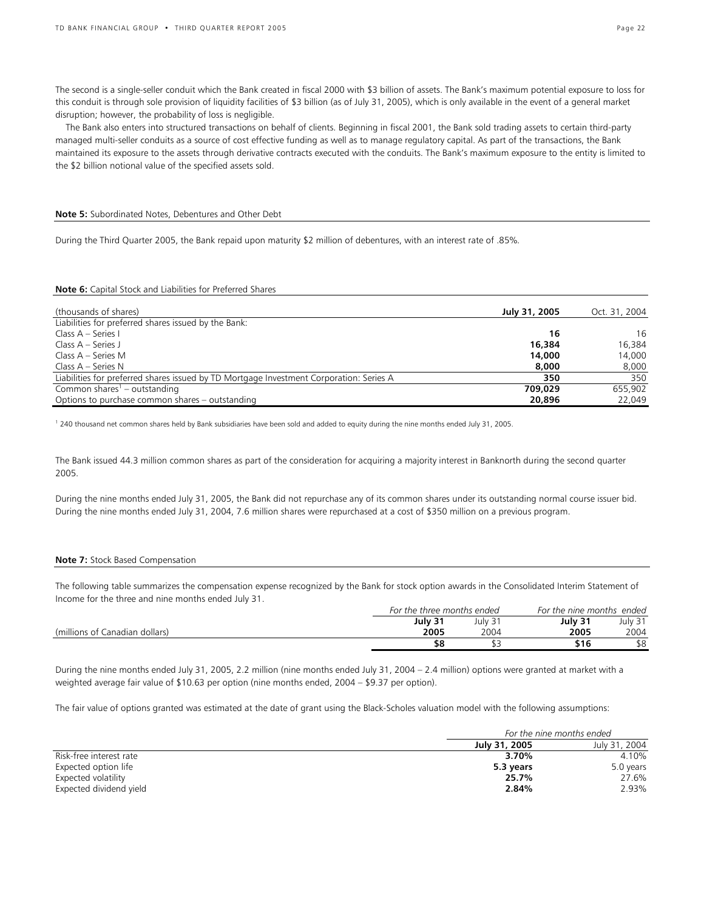The second is a single-seller conduit which the Bank created in fiscal 2000 with \$3 billion of assets. The Bank's maximum potential exposure to loss for this conduit is through sole provision of liquidity facilities of \$3 billion (as of July 31, 2005), which is only available in the event of a general market disruption; however, the probability of loss is negligible.

 The Bank also enters into structured transactions on behalf of clients. Beginning in fiscal 2001, the Bank sold trading assets to certain third-party managed multi-seller conduits as a source of cost effective funding as well as to manage regulatory capital. As part of the transactions, the Bank maintained its exposure to the assets through derivative contracts executed with the conduits. The Bank's maximum exposure to the entity is limited to the \$2 billion notional value of the specified assets sold.

### **Note 5:** Subordinated Notes, Debentures and Other Debt

During the Third Quarter 2005, the Bank repaid upon maturity \$2 million of debentures, with an interest rate of .85%.

### **Note 6:** Capital Stock and Liabilities for Preferred Shares

| (thousands of shares)                                                                   | July 31, 2005 | Oct. 31, 2004 |
|-----------------------------------------------------------------------------------------|---------------|---------------|
| Liabilities for preferred shares issued by the Bank:                                    |               |               |
| Class A – Series I                                                                      | 16            | 16            |
| Class A – Series J                                                                      | 16,384        | 16,384        |
| Class $A -$ Series M                                                                    | 14,000        | 14,000        |
| Class $A -$ Series N                                                                    | 8,000         | 8,000         |
| Liabilities for preferred shares issued by TD Mortgage Investment Corporation: Series A | 350           | 350           |
| Common shares <sup>1</sup> – outstanding                                                | 709,029       | 655,902       |
| Options to purchase common shares – outstanding                                         | 20,896        | 22.049        |

<sup>1</sup> 240 thousand net common shares held by Bank subsidiaries have been sold and added to equity during the nine months ended July 31, 2005.

The Bank issued 44.3 million common shares as part of the consideration for acquiring a majority interest in Banknorth during the second quarter 2005.

During the nine months ended July 31, 2005, the Bank did not repurchase any of its common shares under its outstanding normal course issuer bid. During the nine months ended July 31, 2004, 7.6 million shares were repurchased at a cost of \$350 million on a previous program.

#### **Note 7:** Stock Based Compensation

The following table summarizes the compensation expense recognized by the Bank for stock option awards in the Consolidated Interim Statement of Income for the three and nine months ended July 31.

|                                |         | For the three months ended |         |         |
|--------------------------------|---------|----------------------------|---------|---------|
|                                | July 31 | July 31                    | July 31 | July 31 |
| (millions of Canadian dollars) | 2005    | 2004                       | 2005    | 2004    |
|                                | 58      |                            | \$16    | \$8     |

During the nine months ended July 31, 2005, 2.2 million (nine months ended July 31, 2004 – 2.4 million) options were granted at market with a weighted average fair value of \$10.63 per option (nine months ended, 2004 – \$9.37 per option).

The fair value of options granted was estimated at the date of grant using the Black-Scholes valuation model with the following assumptions:

|                         | For the nine months ended |               |
|-------------------------|---------------------------|---------------|
|                         | July 31, 2005             | July 31, 2004 |
| Risk-free interest rate | 3.70%                     | 4.10%         |
| Expected option life    | 5.3 years                 | 5.0 years     |
| Expected volatility     | 25.7%                     | 27.6%         |
| Expected dividend yield | 2.84%                     | 2.93%         |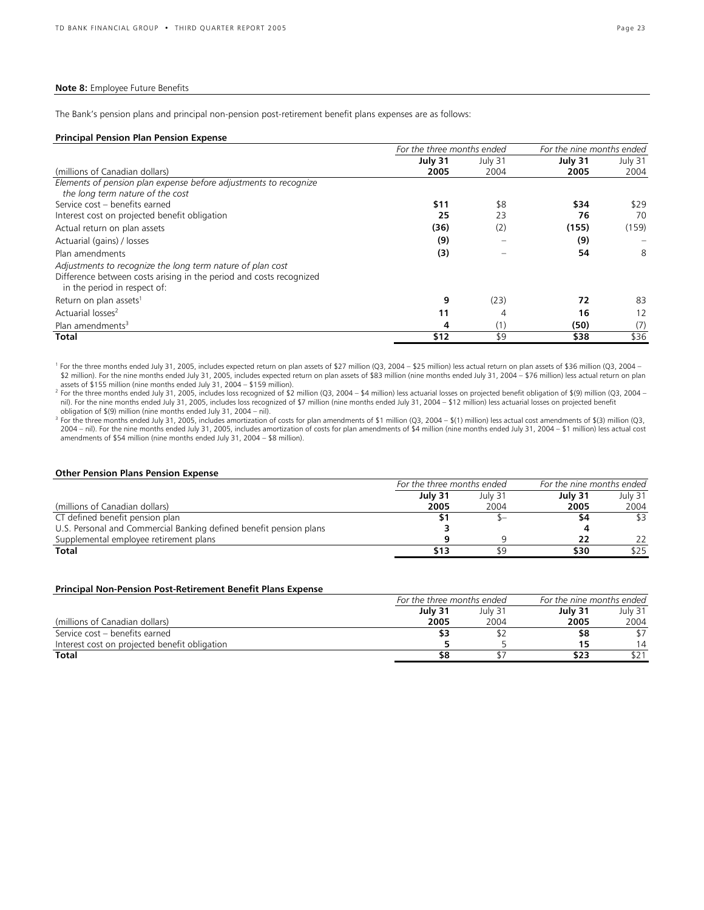### **Note 8:** Employee Future Benefits

The Bank's pension plans and principal non-pension post-retirement benefit plans expenses are as follows:

#### **Principal Pension Plan Pension Expense**

|                                                                     | For the three months ended |         | For the nine months ended |         |  |
|---------------------------------------------------------------------|----------------------------|---------|---------------------------|---------|--|
|                                                                     | July 31                    | July 31 | July 31                   | July 31 |  |
| (millions of Canadian dollars)                                      | 2005                       | 2004    | 2005                      | 2004    |  |
| Elements of pension plan expense before adjustments to recognize    |                            |         |                           |         |  |
| the long term nature of the cost                                    |                            |         |                           |         |  |
| Service cost - benefits earned                                      | \$11                       | \$8     | \$34                      | \$29    |  |
| Interest cost on projected benefit obligation                       | 25                         | 23      | 76                        | 70      |  |
| Actual return on plan assets                                        | (36)                       | (2)     | (155)                     | (159)   |  |
| Actuarial (gains) / losses                                          | (9)                        |         | (9)                       |         |  |
| Plan amendments                                                     | (3)                        |         | 54                        | 8       |  |
| Adjustments to recognize the long term nature of plan cost          |                            |         |                           |         |  |
| Difference between costs arising in the period and costs recognized |                            |         |                           |         |  |
| in the period in respect of:                                        |                            |         |                           |         |  |
| Return on plan assets <sup>1</sup>                                  | 9                          | (23)    | 72                        | 83      |  |
| Actuarial losses <sup>2</sup>                                       | 11                         |         | 16                        | 12      |  |
| Plan amendments <sup>3</sup>                                        | 4                          | (1)     | (50)                      | (7)     |  |
| Total                                                               | \$12                       | \$9     | \$38                      | \$36    |  |

<sup>1</sup> For the three months ended July 31, 2005, includes expected return on plan assets of \$27 million (Q3, 2004 – \$25 million) less actual return on plan assets of \$36 million (Q3, 2004 – \$2 million). For the nine months ended July 31, 2005, includes expected return on plan assets of \$83 million (nine months ended July 31, 2004 – \$76 million) less actual return on plan assets of \$155 million (nine months ended July 31, 2004 – \$159 million).

<sup>2</sup> For the three months ended July 31, 2005, includes loss recognized of \$2 million (Q3, 2004 – \$4 million) less actuarial losses on projected benefit obligation of \$(9) million (Q3, 2004 – nil). For the nine months ended July 31, 2005, includes loss recognized of \$7 million (nine months ended July 31, 2004 – \$12 million) less actuarial losses on projected benefit obligation of \$(9) million (nine months ended July 31, 2004 – nil).

<sup>3</sup> For the three months ended July 31, 2005, includes amortization of costs for plan amendments of \$1 million (Q3, 2004 – \$(1) million) less actual cost amendments of \$(3) million (Q3, 2004 – nil). For the nine months ended July 31, 2005, includes amortization of costs for plan amendments of \$4 million (nine months ended July 31, 2004 – \$1 million) less actual cost<br>amendments of \$54 million (nine months

### **Other Pension Plans Pension Expense**

|                                                                    | For the three months ended |         | For the nine months ended |         |
|--------------------------------------------------------------------|----------------------------|---------|---------------------------|---------|
|                                                                    | July 31                    | July 31 | July 31                   | July 31 |
| (millions of Canadian dollars)                                     | 2005                       | 2004    | 2005                      | 2004    |
| CT defined benefit pension plan                                    |                            |         |                           | \$3     |
| U.S. Personal and Commercial Banking defined benefit pension plans |                            |         |                           |         |
| Supplemental employee retirement plans                             |                            |         |                           | 22      |
| Total                                                              | \$13                       |         | \$30                      | \$25    |

### **Principal Non-Pension Post-Retirement Benefit Plans Expense**

|                                               | For the three months ended |         | For the nine months ended |         |  |
|-----------------------------------------------|----------------------------|---------|---------------------------|---------|--|
|                                               | July 31                    | July 31 | July 31                   | July 31 |  |
| (millions of Canadian dollars)                | 2005                       | 2004    | 2005                      | 2004    |  |
| Service cost - benefits earned                |                            |         | 58                        | \$7     |  |
| Interest cost on projected benefit obligation |                            |         |                           | 14      |  |
| Total                                         |                            |         | \$23                      |         |  |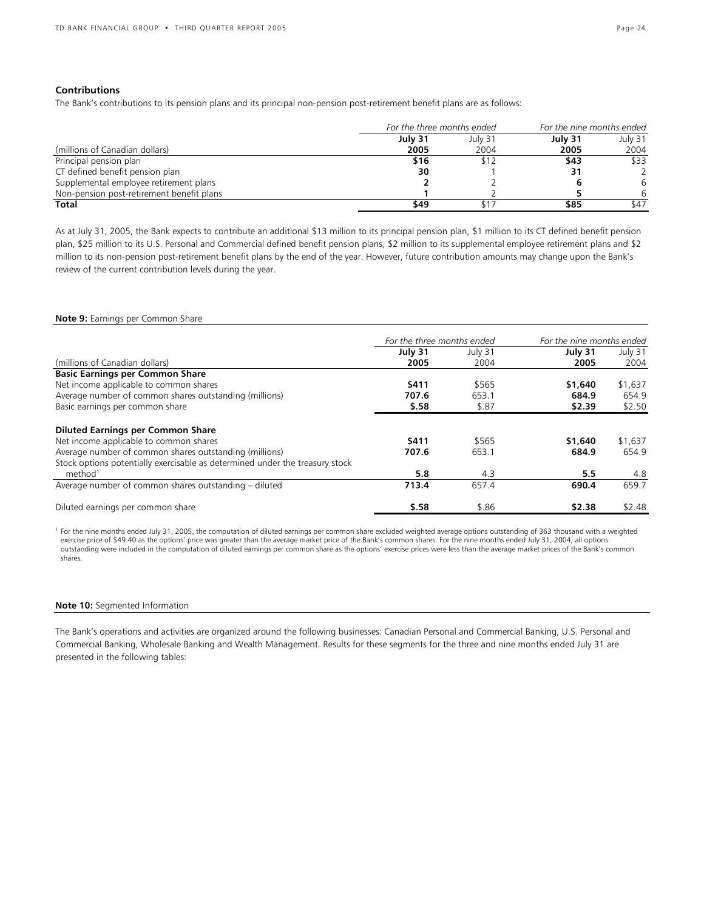### **Contributions**

The Bank's contributions to its pension plans and its principal non-pension post-retirement benefit plans are as follows:

|                                           |         | For the three months ended |         |         |
|-------------------------------------------|---------|----------------------------|---------|---------|
|                                           | July 31 | July 31                    | July 31 | July 31 |
| (millions of Canadian dollars)            | 2005    | 2004                       | 2005    | 2004    |
| Principal pension plan                    | \$16    | \$12                       | \$43    | \$33    |
| CT defined benefit pension plan           | 30      |                            |         |         |
| Supplemental employee retirement plans    |         |                            |         | 6       |
| Non-pension post-retirement benefit plans |         |                            |         |         |
| <b>Total</b>                              | \$49    |                            | \$85    | \$47    |

As at July 31, 2005, the Bank expects to contribute an additional \$13 million to its principal pension plan, \$1 million to its CT defined benefit pension plan, \$25 million to its U.S. Personal and Commercial defined benefit pension plans, \$2 million to its supplemental employee retirement plans and \$2 million to its non-pension post-retirement benefit plans by the end of the year. However, future contribution amounts may change upon the Bank's review of the current contribution levels during the year.

#### **Note 9:** Earnings per Common Share

|                                                                              | For the three months ended |         | For the nine months ended |         |  |
|------------------------------------------------------------------------------|----------------------------|---------|---------------------------|---------|--|
|                                                                              | July 31                    | July 31 | July 31                   | July 31 |  |
| (millions of Canadian dollars)                                               | 2005                       | 2004    | 2005                      | 2004    |  |
| <b>Basic Earnings per Common Share</b>                                       |                            |         |                           |         |  |
| Net income applicable to common shares                                       | \$411                      | \$565   | \$1,640                   | \$1,637 |  |
| Average number of common shares outstanding (millions)                       | 707.6                      | 653.1   | 684.9                     | 654.9   |  |
| Basic earnings per common share                                              | \$.58                      | \$.87   | \$2.39                    | \$2.50  |  |
| <b>Diluted Earnings per Common Share</b>                                     |                            |         |                           |         |  |
| Net income applicable to common shares                                       | \$411                      | \$565   | \$1,640                   | \$1,637 |  |
| Average number of common shares outstanding (millions)                       | 707.6                      | 653.1   | 684.9                     | 654.9   |  |
| Stock options potentially exercisable as determined under the treasury stock |                            |         |                           |         |  |
| method <sup>1</sup>                                                          | 5.8                        | 4.3     | 5.5                       | 4.8     |  |
| Average number of common shares outstanding – diluted                        | 713.4                      | 657.4   | 690.4                     | 659.7   |  |
| Diluted earnings per common share                                            | \$.58                      | \$.86   | \$2.38                    | \$2.48  |  |

<sup>1</sup> For the nine months ended July 31, 2005, the computation of diluted earnings per common share excluded weighted average options outstanding of 363 thousand with a weighted exercise price of \$49.40 as the options' price was greater than the average market price of the Bank's common shares. For the nine months ended July 31, 2004, all options outstanding were included in the computation of diluted earnings per common share as the options' exercise prices were less than the average market prices of the Bank's common shares.

### **Note 10:** Segmented Information

The Bank's operations and activities are organized around the following businesses: Canadian Personal and Commercial Banking, U.S. Personal and Commercial Banking, Wholesale Banking and Wealth Management. Results for these segments for the three and nine months ended July 31 are presented in the following tables: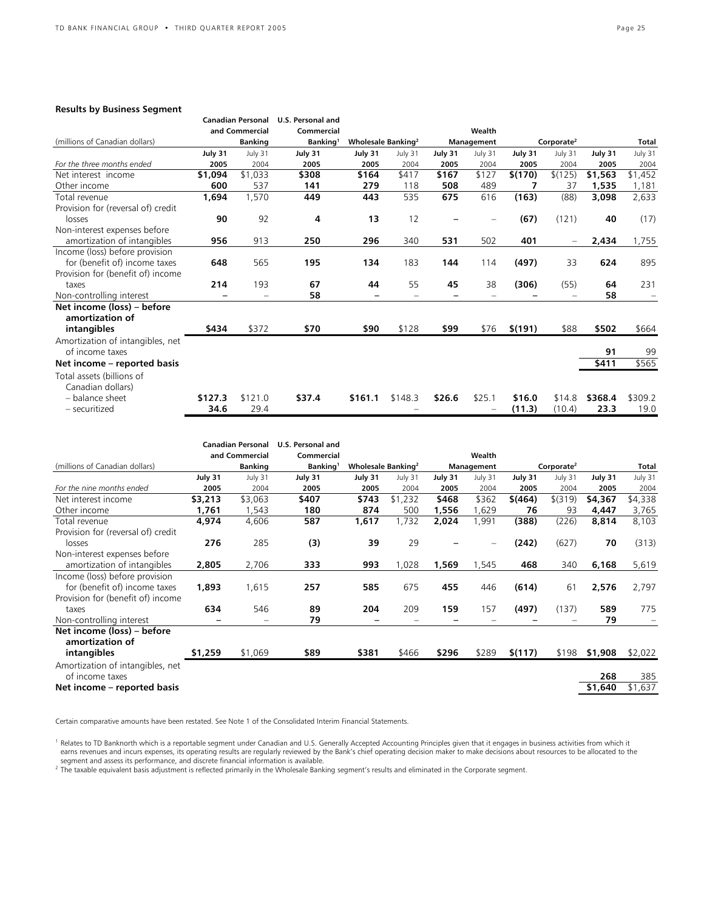### **Results by Business Segment**

|         |                | U.S. Personal and                                     |         |         |                                           |         |                      |                          |                                  |         |
|---------|----------------|-------------------------------------------------------|---------|---------|-------------------------------------------|---------|----------------------|--------------------------|----------------------------------|---------|
|         |                | Commercial                                            |         |         |                                           | Wealth  |                      |                          |                                  |         |
|         | <b>Banking</b> | <b>Banking</b>                                        |         |         |                                           |         |                      |                          |                                  | Total   |
| July 31 | July 31        | July 31                                               | July 31 | July 31 | July 31                                   | July 31 | July 31              | July 31                  | July 31                          | July 31 |
| 2005    | 2004           | 2005                                                  | 2005    | 2004    | 2005                                      | 2004    | 2005                 | 2004                     | 2005                             | 2004    |
| \$1,094 | \$1,033        | \$308                                                 | \$164   | \$417   | \$167                                     | \$127   | \$(170)              | \$(125)                  | \$1,563                          | \$1,452 |
| 600     | 537            | 141                                                   | 279     | 118     | 508                                       | 489     |                      | 37                       | 1,535                            | 1,181   |
| 1,694   | 1,570          | 449                                                   | 443     | 535     | 675                                       | 616     | (163)                | (88)                     | 3,098                            | 2,633   |
|         |                |                                                       |         |         |                                           |         |                      |                          |                                  |         |
| 90      | 92             | 4                                                     | 13      | 12      |                                           | -       | (67)                 | (121)                    | 40                               | (17)    |
|         |                |                                                       |         |         |                                           |         |                      |                          |                                  |         |
| 956     | 913            | 250                                                   | 296     | 340     | 531                                       | 502     | 401                  | -                        | 2,434                            | 1,755   |
|         |                |                                                       |         |         |                                           |         |                      |                          |                                  |         |
| 648     | 565            | 195                                                   | 134     | 183     | 144                                       | 114     | (497)                | 33                       | 624                              | 895     |
|         |                |                                                       |         |         |                                           |         |                      |                          |                                  |         |
| 214     | 193            | 67                                                    | 44      | 55      | 45                                        | 38      | (306)                | (55)                     | 64                               | 231     |
|         |                | 58                                                    |         |         |                                           | -       |                      | $\overline{\phantom{m}}$ | 58                               |         |
|         |                |                                                       |         |         |                                           |         |                      |                          |                                  |         |
|         |                |                                                       |         |         |                                           |         |                      |                          |                                  |         |
| \$434   | \$372          | \$70                                                  | \$90    | \$128   | \$99                                      | \$76    | \$(191)              | \$88                     | \$502                            | \$664   |
|         |                |                                                       |         |         |                                           |         |                      |                          |                                  |         |
|         |                |                                                       |         |         |                                           |         |                      |                          | 91                               | 99      |
|         |                |                                                       |         |         |                                           |         |                      |                          | \$411                            | \$565   |
|         |                |                                                       |         |         |                                           |         |                      |                          |                                  |         |
|         |                |                                                       |         |         |                                           |         |                      |                          |                                  |         |
|         |                |                                                       |         |         |                                           |         |                      |                          |                                  | \$309.2 |
| 34.6    | 29.4           |                                                       |         |         |                                           |         | (11.3)               | (10.4)                   | 23.3                             | 19.0    |
|         | \$127.3        | <b>Canadian Personal</b><br>and Commercial<br>\$121.0 | \$37.4  | \$161.1 | Wholesale Banking <sup>2</sup><br>\$148.3 | \$26.6  | Management<br>\$25.1 | \$16.0                   | Corporate <sup>2</sup><br>\$14.8 | \$368.4 |

|                                    |         | <b>Canadian Personal</b> | U.S. Personal and    |                                |         |         |            |         |                        |         |         |
|------------------------------------|---------|--------------------------|----------------------|--------------------------------|---------|---------|------------|---------|------------------------|---------|---------|
|                                    |         | and Commercial           | Commercial           |                                |         |         | Wealth     |         |                        |         |         |
| (millions of Canadian dollars)     |         | <b>Banking</b>           | Banking <sup>1</sup> | Wholesale Banking <sup>2</sup> |         |         | Management |         | Corporate <sup>2</sup> |         | Total   |
|                                    | July 31 | July 31                  | July 31              | July 31                        | July 31 | July 31 | July 31    | July 31 | July 31                | July 31 | July 31 |
| For the nine months ended          | 2005    | 2004                     | 2005                 | 2005                           | 2004    | 2005    | 2004       | 2005    | 2004                   | 2005    | 2004    |
| Net interest income                | \$3,213 | \$3,063                  | \$407                | \$743                          | \$1,232 | \$468   | \$362      | \$(464) | \$(319)                | \$4,367 | \$4,338 |
| Other income                       | 1,761   | 1,543                    | 180                  | 874                            | 500     | 1,556   | 1,629      | 76      | 93                     | 4,447   | 3,765   |
| Total revenue                      | 4,974   | 4,606                    | 587                  | 1,617                          | 1,732   | 2,024   | 1,991      | (388)   | (226)                  | 8,814   | 8,103   |
| Provision for (reversal of) credit |         |                          |                      |                                |         |         |            |         |                        |         |         |
| losses                             | 276     | 285                      | (3)                  | 39                             | 29      |         |            | (242)   | (627)                  | 70      | (313)   |
| Non-interest expenses before       |         |                          |                      |                                |         |         |            |         |                        |         |         |
| amortization of intangibles        | 2,805   | 2,706                    | 333                  | 993                            | 1,028   | 1,569   | 1,545      | 468     | 340                    | 6,168   | 5,619   |
| Income (loss) before provision     |         |                          |                      |                                |         |         |            |         |                        |         |         |
| for (benefit of) income taxes      | 1,893   | 1,615                    | 257                  | 585                            | 675     | 455     | 446        | (614)   | 61                     | 2,576   | 2,797   |
| Provision for (benefit of) income  |         |                          |                      |                                |         |         |            |         |                        |         |         |
| taxes                              | 634     | 546                      | 89                   | 204                            | 209     | 159     | 157        | (497)   | (137)                  | 589     | 775     |
| Non-controlling interest           |         |                          | 79                   |                                |         |         |            |         |                        | 79      |         |
| Net income (loss) - before         |         |                          |                      |                                |         |         |            |         |                        |         |         |
| amortization of                    |         |                          |                      |                                |         |         |            |         |                        |         |         |
| intangibles                        | \$1,259 | \$1,069                  | \$89                 | \$381                          | \$466   | \$296   | \$289      | \$(117) | \$198                  | \$1,908 | \$2,022 |
| Amortization of intangibles, net   |         |                          |                      |                                |         |         |            |         |                        |         |         |
| of income taxes                    |         |                          |                      |                                |         |         |            |         |                        | 268     | 385     |
| Net income – reported basis        |         |                          |                      |                                |         |         |            |         |                        | \$1,640 | \$1,637 |
|                                    |         |                          |                      |                                |         |         |            |         |                        |         |         |

Certain comparative amounts have been restated. See Note 1 of the Consolidated Interim Financial Statements.

<sup>1</sup> Relates to TD Banknorth which is a reportable segment under Canadian and U.S. Generally Accepted Accounting Principles given that it engages in business activities from which it earns revenues and incurs expenses, its operating results are regularly reviewed by the Bank's chief operating decision maker to make decisions about resources to be allocated to the segment and assess its performance, and discrete financial information is available.

 $^2$  The taxable equivalent basis adjustment is reflected primarily in the Wholesale Banking segment's results and eliminated in the Corporate segment.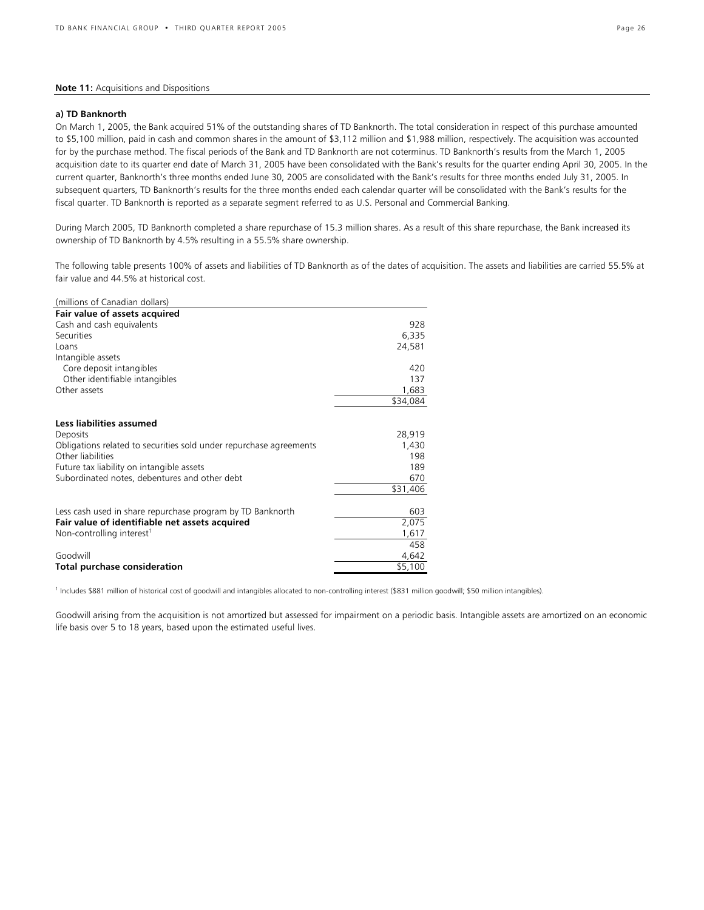### **Note 11:** Acquisitions and Dispositions

### **a) TD Banknorth**

On March 1, 2005, the Bank acquired 51% of the outstanding shares of TD Banknorth. The total consideration in respect of this purchase amounted to \$5,100 million, paid in cash and common shares in the amount of \$3,112 million and \$1,988 million, respectively. The acquisition was accounted for by the purchase method. The fiscal periods of the Bank and TD Banknorth are not coterminus. TD Banknorth's results from the March 1, 2005 acquisition date to its quarter end date of March 31, 2005 have been consolidated with the Bank's results for the quarter ending April 30, 2005. In the current quarter, Banknorth's three months ended June 30, 2005 are consolidated with the Bank's results for three months ended July 31, 2005. In subsequent quarters, TD Banknorth's results for the three months ended each calendar quarter will be consolidated with the Bank's results for the fiscal quarter. TD Banknorth is reported as a separate segment referred to as U.S. Personal and Commercial Banking.

During March 2005, TD Banknorth completed a share repurchase of 15.3 million shares. As a result of this share repurchase, the Bank increased its ownership of TD Banknorth by 4.5% resulting in a 55.5% share ownership.

The following table presents 100% of assets and liabilities of TD Banknorth as of the dates of acquisition. The assets and liabilities are carried 55.5% at fair value and 44.5% at historical cost.

| (millions of Canadian dollars)                                     |          |
|--------------------------------------------------------------------|----------|
| Fair value of assets acquired                                      |          |
| Cash and cash equivalents                                          | 928      |
| Securities                                                         | 6,335    |
| Loans                                                              | 24,581   |
| Intangible assets                                                  |          |
| Core deposit intangibles                                           | 420      |
| Other identifiable intangibles                                     | 137      |
| Other assets                                                       | 1,683    |
|                                                                    | \$34,084 |
|                                                                    |          |
| Less liabilities assumed                                           |          |
| Deposits                                                           | 28,919   |
| Obligations related to securities sold under repurchase agreements | 1,430    |
| Other liabilities                                                  | 198      |
| Future tax liability on intangible assets                          | 189      |
| Subordinated notes, debentures and other debt                      | 670      |
|                                                                    | \$31,406 |
|                                                                    |          |
| Less cash used in share repurchase program by TD Banknorth         | 603      |
| Fair value of identifiable net assets acquired                     | 2,075    |
| Non-controlling interest <sup>1</sup>                              | 1,617    |
|                                                                    | 458      |
| Goodwill                                                           | 4,642    |
| Total purchase consideration                                       | \$5,100  |

1 Includes \$881 million of historical cost of goodwill and intangibles allocated to non-controlling interest (\$831 million goodwill; \$50 million intangibles).

Goodwill arising from the acquisition is not amortized but assessed for impairment on a periodic basis. Intangible assets are amortized on an economic life basis over 5 to 18 years, based upon the estimated useful lives.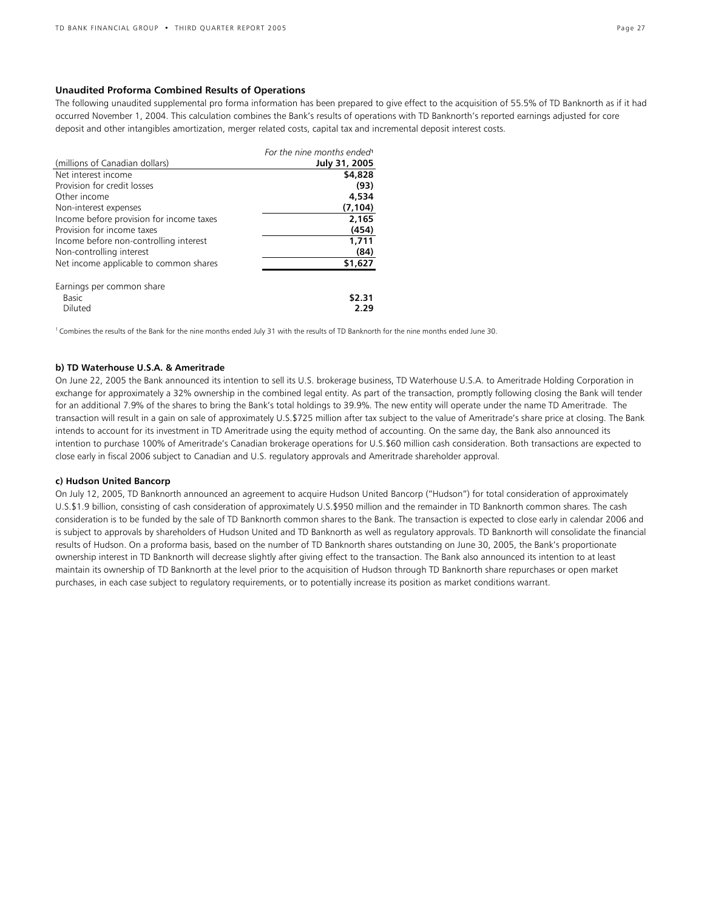### **Unaudited Proforma Combined Results of Operations**

The following unaudited supplemental pro forma information has been prepared to give effect to the acquisition of 55.5% of TD Banknorth as if it had occurred November 1, 2004. This calculation combines the Bank's results of operations with TD Banknorth's reported earnings adjusted for core deposit and other intangibles amortization, merger related costs, capital tax and incremental deposit interest costs.

*For the nine months ended***<sup>1</sup>**

|                                               | For the nine months ended' |
|-----------------------------------------------|----------------------------|
| (millions of Canadian dollars)                | July 31, 2005              |
| Net interest income                           | \$4,828                    |
| Provision for credit losses                   | (93)                       |
| Other income                                  | 4,534                      |
| Non-interest expenses                         | (7, 104)                   |
| Income before provision for income taxes      | 2,165                      |
| Provision for income taxes                    | (454)                      |
| Income before non-controlling interest        | 1.711                      |
| Non-controlling interest                      | (84)                       |
| Net income applicable to common shares        | \$1,627                    |
| Earnings per common share<br>Basic<br>Diluted | \$2.31<br>2.29             |
|                                               |                            |

1 Combines the results of the Bank for the nine months ended July 31 with the results of TD Banknorth for the nine months ended June 30.

### **b) TD Waterhouse U.S.A. & Ameritrade**

On June 22, 2005 the Bank announced its intention to sell its U.S. brokerage business, TD Waterhouse U.S.A. to Ameritrade Holding Corporation in exchange for approximately a 32% ownership in the combined legal entity. As part of the transaction, promptly following closing the Bank will tender for an additional 7.9% of the shares to bring the Bank's total holdings to 39.9%. The new entity will operate under the name TD Ameritrade. The transaction will result in a gain on sale of approximately U.S.\$725 million after tax subject to the value of Ameritrade's share price at closing. The Bank intends to account for its investment in TD Ameritrade using the equity method of accounting. On the same day, the Bank also announced its intention to purchase 100% of Ameritrade's Canadian brokerage operations for U.S.\$60 million cash consideration. Both transactions are expected to close early in fiscal 2006 subject to Canadian and U.S. regulatory approvals and Ameritrade shareholder approval.

#### **c) Hudson United Bancorp**

On July 12, 2005, TD Banknorth announced an agreement to acquire Hudson United Bancorp ("Hudson") for total consideration of approximately U.S.\$1.9 billion, consisting of cash consideration of approximately U.S.\$950 million and the remainder in TD Banknorth common shares. The cash consideration is to be funded by the sale of TD Banknorth common shares to the Bank. The transaction is expected to close early in calendar 2006 and is subject to approvals by shareholders of Hudson United and TD Banknorth as well as regulatory approvals. TD Banknorth will consolidate the financial results of Hudson. On a proforma basis, based on the number of TD Banknorth shares outstanding on June 30, 2005, the Bank's proportionate ownership interest in TD Banknorth will decrease slightly after giving effect to the transaction. The Bank also announced its intention to at least maintain its ownership of TD Banknorth at the level prior to the acquisition of Hudson through TD Banknorth share repurchases or open market purchases, in each case subject to regulatory requirements, or to potentially increase its position as market conditions warrant.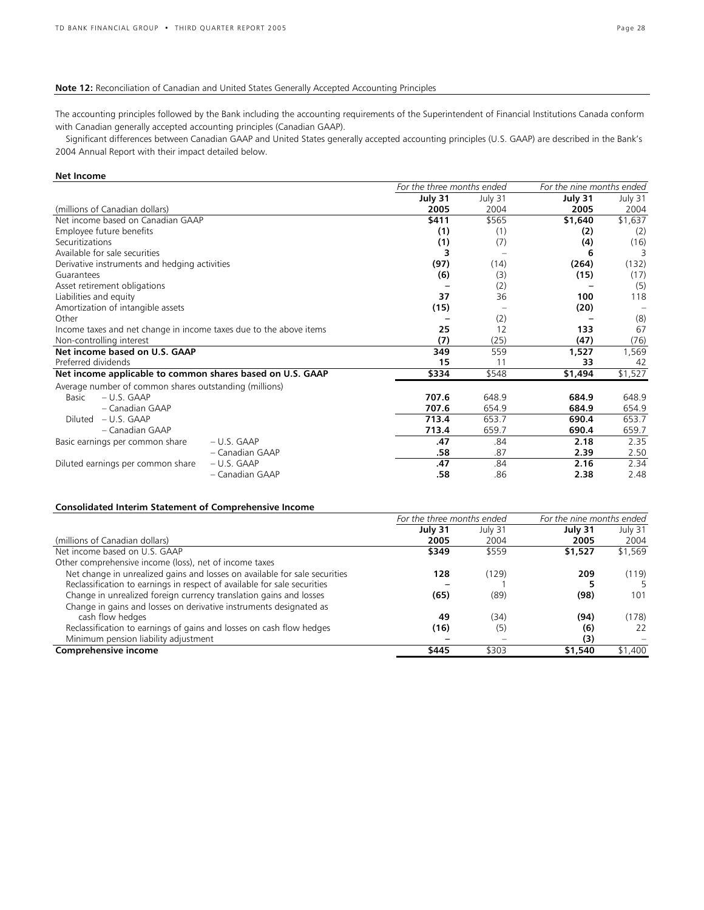### **Note 12:** Reconciliation of Canadian and United States Generally Accepted Accounting Principles

The accounting principles followed by the Bank including the accounting requirements of the Superintendent of Financial Institutions Canada conform with Canadian generally accepted accounting principles (Canadian GAAP).

 Significant differences between Canadian GAAP and United States generally accepted accounting principles (U.S. GAAP) are described in the Bank's 2004 Annual Report with their impact detailed below.

### **Net Income**

|                                                                    |                 | For the three months ended |         | For the nine months ended |         |  |
|--------------------------------------------------------------------|-----------------|----------------------------|---------|---------------------------|---------|--|
|                                                                    |                 | July 31                    | July 31 | July 31                   | July 31 |  |
| (millions of Canadian dollars)                                     |                 | 2005                       | 2004    | 2005                      | 2004    |  |
| Net income based on Canadian GAAP                                  |                 | \$411                      | \$565   | \$1,640                   | \$1,637 |  |
| Employee future benefits                                           |                 | (1)                        | (1)     | (2)                       | (2)     |  |
| Securitizations                                                    |                 | (1)                        | (7)     | (4)                       | (16)    |  |
| Available for sale securities                                      |                 |                            |         | 6                         | 3       |  |
| Derivative instruments and hedging activities                      |                 | (97)                       | (14)    | (264)                     | (132)   |  |
| Guarantees                                                         |                 | (6)                        | (3)     | (15)                      | (17)    |  |
| Asset retirement obligations                                       |                 |                            | (2)     |                           | (5)     |  |
| Liabilities and equity                                             |                 | 37                         | 36      | 100                       | 118     |  |
| Amortization of intangible assets                                  |                 | (15)                       |         | (20)                      |         |  |
| Other                                                              |                 |                            | (2)     |                           | (8)     |  |
| Income taxes and net change in income taxes due to the above items |                 | 25                         | 12      | 133                       | 67      |  |
| Non-controlling interest                                           | (7)             | (25)                       | (47)    | (76)                      |         |  |
| Net income based on U.S. GAAP                                      |                 | 349                        | 559     | 1,527                     | 1,569   |  |
| Preferred dividends                                                |                 | 15                         | 11      | 33                        | 42      |  |
| Net income applicable to common shares based on U.S. GAAP          |                 | \$334                      | \$548   | \$1,494                   | \$1,527 |  |
| Average number of common shares outstanding (millions)             |                 |                            |         |                           |         |  |
| $- U.S. GAAP$<br>Basic                                             |                 | 707.6                      | 648.9   | 684.9                     | 648.9   |  |
| - Canadian GAAP                                                    |                 | 707.6                      | 654.9   | 684.9                     | 654.9   |  |
| $- U.S. GAAP$<br>Diluted                                           |                 | 713.4                      | 653.7   | 690.4                     | 653.7   |  |
| - Canadian GAAP                                                    |                 | 713.4                      | 659.7   | 690.4                     | 659.7   |  |
| Basic earnings per common share                                    | $- U.S. GAAP$   | .47                        | .84     | 2.18                      | 2.35    |  |
|                                                                    | - Canadian GAAP | .58                        | .87     | 2.39                      | 2.50    |  |
| Diluted earnings per common share                                  | $- U.S. GAAP$   | .47                        | .84     | 2.16                      | 2.34    |  |
|                                                                    | - Canadian GAAP | .58                        | .86     | 2.38                      | 2.48    |  |
|                                                                    |                 |                            |         |                           |         |  |

### **Consolidated Interim Statement of Comprehensive Income**

|                                                                            | For the three months ended |         | For the nine months ended |         |  |
|----------------------------------------------------------------------------|----------------------------|---------|---------------------------|---------|--|
|                                                                            | July 31                    | July 31 | July 31                   | July 31 |  |
| (millions of Canadian dollars)                                             | 2005                       | 2004    | 2005                      | 2004    |  |
| Net income based on U.S. GAAP                                              | \$349                      | \$559   | \$1,527                   | \$1,569 |  |
| Other comprehensive income (loss), net of income taxes                     |                            |         |                           |         |  |
| Net change in unrealized gains and losses on available for sale securities | 128                        | (129)   | 209                       | (119)   |  |
| Reclassification to earnings in respect of available for sale securities   |                            |         |                           |         |  |
| Change in unrealized foreign currency translation gains and losses         | (65)                       | (89)    | (98)                      | 101     |  |
| Change in gains and losses on derivative instruments designated as         |                            |         |                           |         |  |
| cash flow hedges                                                           | 49                         | (34)    | (94)                      | (178)   |  |
| Reclassification to earnings of gains and losses on cash flow hedges       | (16)                       | (5)     | (6)                       | 22      |  |
| Minimum pension liability adjustment                                       |                            |         | (3)                       |         |  |
| Comprehensive income                                                       | \$445                      | \$303   | \$1,540                   | \$1,400 |  |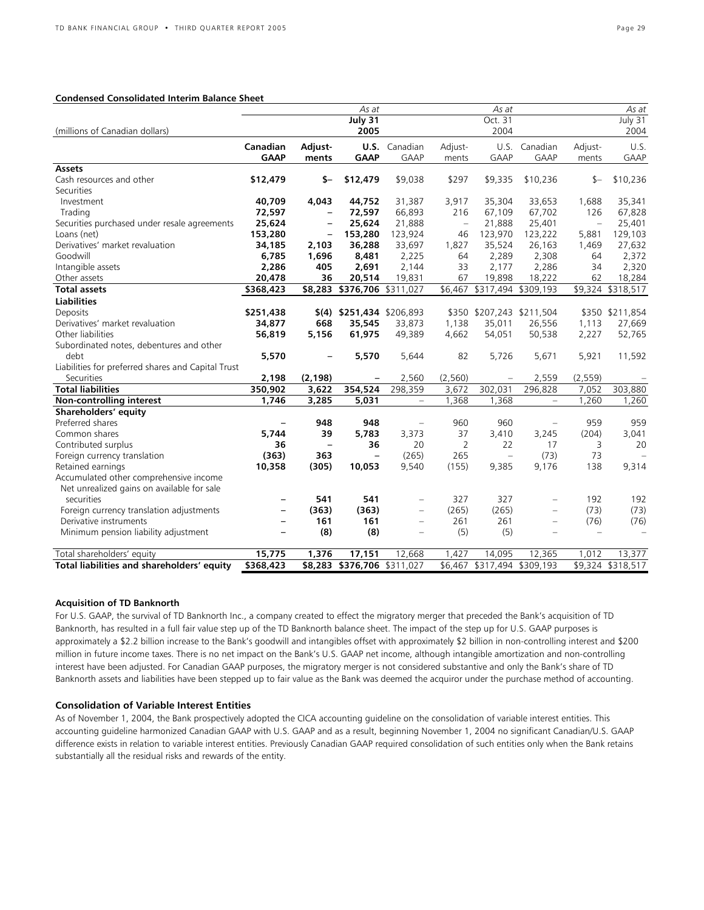### **Condensed Consolidated Interim Balance Sheet**

|                                                    |                          |                          | As at                           |                          |          | As at                       |             |          | As at             |
|----------------------------------------------------|--------------------------|--------------------------|---------------------------------|--------------------------|----------|-----------------------------|-------------|----------|-------------------|
|                                                    |                          |                          | July 31                         |                          |          | Oct. 31                     |             |          | July 31           |
| (millions of Canadian dollars)                     |                          |                          | 2005                            |                          |          | 2004                        |             |          | 2004              |
|                                                    | Canadian                 | Adjust-                  | <b>U.S.</b>                     | Canadian                 | Adjust-  | U.S.                        | Canadian    | Adjust-  | U.S.              |
|                                                    | <b>GAAP</b>              | ments                    | <b>GAAP</b>                     | <b>GAAP</b>              | ments    | <b>GAAP</b>                 | <b>GAAP</b> | ments    | <b>GAAP</b>       |
| <b>Assets</b>                                      |                          |                          |                                 |                          |          |                             |             |          |                   |
| Cash resources and other                           | \$12,479                 | \$-                      | \$12,479                        | \$9,038                  | \$297    | \$9,335                     | \$10,236    | \$—      | \$10,236          |
| Securities                                         |                          |                          |                                 |                          |          |                             |             |          |                   |
| Investment                                         | 40,709                   | 4,043                    | 44,752                          | 31,387                   | 3,917    | 35,304                      | 33,653      | 1,688    | 35,341            |
| Trading                                            | 72,597                   | $\qquad \qquad -$        | 72,597                          | 66,893                   | 216      | 67,109                      | 67,702      | 126      | 67,828            |
| Securities purchased under resale agreements       | 25,624                   | $\overline{\phantom{m}}$ | 25,624                          | 21,888                   | $\equiv$ | 21,888                      | 25,401      | $\equiv$ | 25,401            |
| Loans (net)                                        | 153,280                  | $\qquad \qquad -$        | 153,280                         | 123,924                  | 46       | 123,970                     | 123,222     | 5,881    | 129,103           |
| Derivatives' market revaluation                    | 34,185                   | 2,103                    | 36,288                          | 33,697                   | 1,827    | 35,524                      | 26,163      | 1,469    | 27,632            |
| Goodwill                                           | 6,785                    | 1,696                    | 8,481                           | 2,225                    | 64       | 2,289                       | 2,308       | 64       | 2,372             |
| Intangible assets                                  | 2,286                    | 405                      | 2,691                           | 2,144                    | 33       | 2,177                       | 2,286       | 34       | 2,320             |
| Other assets                                       | 20,478                   | 36                       | 20,514                          | 19,831                   | 67       | 19,898                      | 18,222      | 62       | 18,284            |
| <b>Total assets</b>                                | \$368,423                |                          | \$8,283 \$376,706 \$311,027     |                          | \$6,467  | \$317,494 \$309,193         |             |          | \$9,324 \$318,517 |
| <b>Liabilities</b>                                 |                          |                          |                                 |                          |          |                             |             |          |                   |
| Deposits                                           | \$251,438                |                          | $$$ (4) $$$ 251,434 $$$ 206,893 |                          |          | \$350 \$207,243 \$211,504   |             |          | \$350 \$211,854   |
| Derivatives' market revaluation                    | 34,877                   | 668                      | 35,545                          | 33,873                   | 1,138    | 35,011                      | 26,556      | 1,113    | 27,669            |
| Other liabilities                                  | 56,819                   | 5,156                    | 61,975                          | 49,389                   | 4,662    | 54,051                      | 50,538      | 2,227    | 52,765            |
| Subordinated notes, debentures and other           |                          |                          |                                 |                          |          |                             |             |          |                   |
| debt                                               | 5,570                    | $\qquad \qquad -$        | 5,570                           | 5,644                    | 82       | 5,726                       | 5,671       | 5,921    | 11,592            |
| Liabilities for preferred shares and Capital Trust |                          |                          |                                 |                          |          |                             |             |          |                   |
| Securities                                         | 2,198                    | (2, 198)                 | $\overline{\phantom{0}}$        | 2,560                    | (2, 560) | $\equiv$                    | 2,559       | (2, 559) |                   |
| <b>Total liabilities</b>                           | 350,902                  | 3,622                    | 354,524                         | 298,359                  | 3,672    | 302,031                     | 296,828     | 7,052    | 303,880           |
| Non-controlling interest                           | 1,746                    | 3,285                    | 5,031                           | ÷                        | 1,368    | 1,368                       | $\equiv$    | 1,260    | 1,260             |
| Shareholders' equity                               |                          |                          |                                 |                          |          |                             |             |          |                   |
| Preferred shares                                   |                          | 948                      | 948                             | $\equiv$                 | 960      | 960                         | $\equiv$    | 959      | 959               |
| Common shares                                      | 5.744                    | 39                       | 5.783                           | 3,373                    | 37       | 3,410                       | 3,245       | (204)    | 3,041             |
| Contributed surplus                                | 36                       | $\overline{\phantom{m}}$ | 36                              | 20                       | 2        | 22                          | 17          | 3        | 20                |
| Foreign currency translation                       | (363)                    | 363                      | $\overline{\phantom{0}}$        | (265)                    | 265      | $\equiv$                    | (73)        | 73       |                   |
| Retained earnings                                  | 10,358                   | (305)                    | 10,053                          | 9,540                    | (155)    | 9,385                       | 9,176       | 138      | 9,314             |
| Accumulated other comprehensive income             |                          |                          |                                 |                          |          |                             |             |          |                   |
| Net unrealized gains on available for sale         |                          |                          |                                 |                          |          |                             |             |          |                   |
| securities                                         |                          | 541                      | 541                             | $\overline{\phantom{0}}$ | 327      | 327                         | $\equiv$    | 192      | 192               |
| Foreign currency translation adjustments           |                          | (363)                    | (363)                           | $\equiv$                 | (265)    | (265)                       | L,          | (73)     | (73)              |
| Derivative instruments                             | $\overline{\phantom{0}}$ | 161                      | 161                             | $\equiv$                 | 261      | 261                         | $\equiv$    | (76)     | (76)              |
| Minimum pension liability adjustment               |                          | (8)                      | (8)                             | $\overline{\phantom{m}}$ | (5)      | (5)                         | $\equiv$    | $\equiv$ |                   |
|                                                    |                          |                          |                                 |                          |          |                             |             |          |                   |
| Total shareholders' equity                         | 15,775                   | 1,376                    | 17,151                          | 12,668                   | 1,427    | 14,095                      | 12,365      | 1,012    | 13,377            |
| Total liabilities and shareholders' equity         | \$368,423                |                          | \$8,283 \$376,706 \$311,027     |                          |          | \$6,467 \$317,494 \$309,193 |             |          | \$9,324 \$318,517 |

### **Acquisition of TD Banknorth**

For U.S. GAAP, the survival of TD Banknorth Inc., a company created to effect the migratory merger that preceded the Bank's acquisition of TD Banknorth, has resulted in a full fair value step up of the TD Banknorth balance sheet. The impact of the step up for U.S. GAAP purposes is approximately a \$2.2 billion increase to the Bank's goodwill and intangibles offset with approximately \$2 billion in non-controlling interest and \$200 million in future income taxes. There is no net impact on the Bank's U.S. GAAP net income, although intangible amortization and non-controlling interest have been adjusted. For Canadian GAAP purposes, the migratory merger is not considered substantive and only the Bank's share of TD Banknorth assets and liabilities have been stepped up to fair value as the Bank was deemed the acquiror under the purchase method of accounting.

### **Consolidation of Variable Interest Entities**

As of November 1, 2004, the Bank prospectively adopted the CICA accounting guideline on the consolidation of variable interest entities. This accounting guideline harmonized Canadian GAAP with U.S. GAAP and as a result, beginning November 1, 2004 no significant Canadian/U.S. GAAP difference exists in relation to variable interest entities. Previously Canadian GAAP required consolidation of such entities only when the Bank retains substantially all the residual risks and rewards of the entity.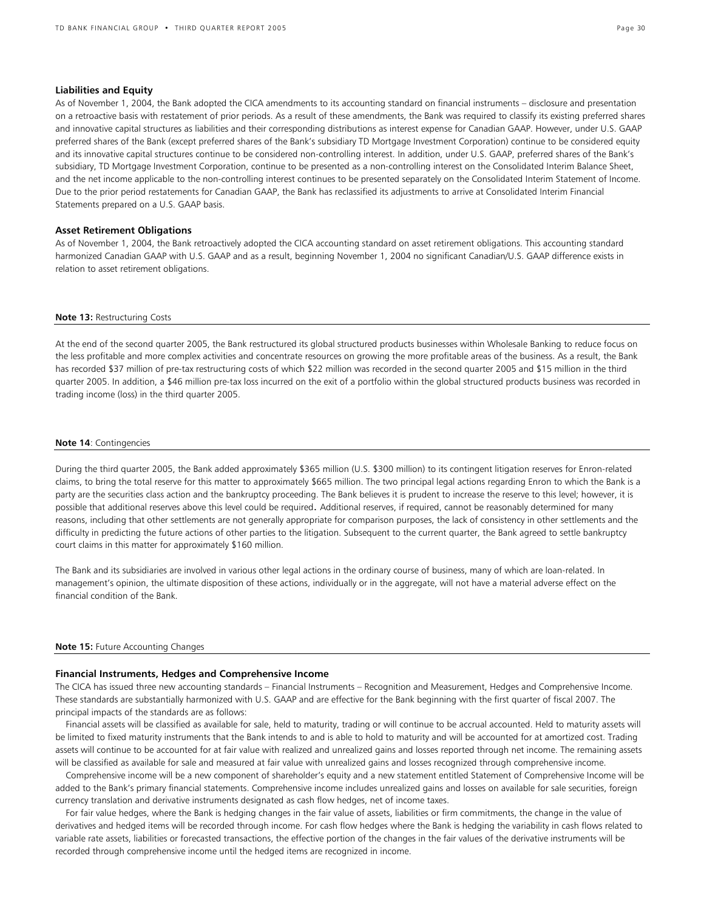#### **Liabilities and Equity**

As of November 1, 2004, the Bank adopted the CICA amendments to its accounting standard on financial instruments – disclosure and presentation on a retroactive basis with restatement of prior periods. As a result of these amendments, the Bank was required to classify its existing preferred shares and innovative capital structures as liabilities and their corresponding distributions as interest expense for Canadian GAAP. However, under U.S. GAAP preferred shares of the Bank (except preferred shares of the Bank's subsidiary TD Mortgage Investment Corporation) continue to be considered equity and its innovative capital structures continue to be considered non-controlling interest. In addition, under U.S. GAAP, preferred shares of the Bank's subsidiary, TD Mortgage Investment Corporation, continue to be presented as a non-controlling interest on the Consolidated Interim Balance Sheet, and the net income applicable to the non-controlling interest continues to be presented separately on the Consolidated Interim Statement of Income. Due to the prior period restatements for Canadian GAAP, the Bank has reclassified its adjustments to arrive at Consolidated Interim Financial Statements prepared on a U.S. GAAP basis.

#### **Asset Retirement Obligations**

As of November 1, 2004, the Bank retroactively adopted the CICA accounting standard on asset retirement obligations. This accounting standard harmonized Canadian GAAP with U.S. GAAP and as a result, beginning November 1, 2004 no significant Canadian/U.S. GAAP difference exists in relation to asset retirement obligations.

#### **Note 13:** Restructuring Costs

At the end of the second quarter 2005, the Bank restructured its global structured products businesses within Wholesale Banking to reduce focus on the less profitable and more complex activities and concentrate resources on growing the more profitable areas of the business. As a result, the Bank has recorded \$37 million of pre-tax restructuring costs of which \$22 million was recorded in the second quarter 2005 and \$15 million in the third quarter 2005. In addition, a \$46 million pre-tax loss incurred on the exit of a portfolio within the global structured products business was recorded in trading income (loss) in the third quarter 2005.

### **Note 14**: Contingencies

During the third quarter 2005, the Bank added approximately \$365 million (U.S. \$300 million) to its contingent litigation reserves for Enron-related claims, to bring the total reserve for this matter to approximately \$665 million. The two principal legal actions regarding Enron to which the Bank is a party are the securities class action and the bankruptcy proceeding. The Bank believes it is prudent to increase the reserve to this level; however, it is possible that additional reserves above this level could be required. Additional reserves, if required, cannot be reasonably determined for many reasons, including that other settlements are not generally appropriate for comparison purposes, the lack of consistency in other settlements and the difficulty in predicting the future actions of other parties to the litigation. Subsequent to the current quarter, the Bank agreed to settle bankruptcy court claims in this matter for approximately \$160 million.

The Bank and its subsidiaries are involved in various other legal actions in the ordinary course of business, many of which are loan-related. In management's opinion, the ultimate disposition of these actions, individually or in the aggregate, will not have a material adverse effect on the financial condition of the Bank.

#### **Note 15:** Future Accounting Changes

### **Financial Instruments, Hedges and Comprehensive Income**

The CICA has issued three new accounting standards – Financial Instruments – Recognition and Measurement, Hedges and Comprehensive Income. These standards are substantially harmonized with U.S. GAAP and are effective for the Bank beginning with the first quarter of fiscal 2007. The principal impacts of the standards are as follows:

 Financial assets will be classified as available for sale, held to maturity, trading or will continue to be accrual accounted. Held to maturity assets will be limited to fixed maturity instruments that the Bank intends to and is able to hold to maturity and will be accounted for at amortized cost. Trading assets will continue to be accounted for at fair value with realized and unrealized gains and losses reported through net income. The remaining assets will be classified as available for sale and measured at fair value with unrealized gains and losses recognized through comprehensive income.

 Comprehensive income will be a new component of shareholder's equity and a new statement entitled Statement of Comprehensive Income will be added to the Bank's primary financial statements. Comprehensive income includes unrealized gains and losses on available for sale securities, foreign currency translation and derivative instruments designated as cash flow hedges, net of income taxes.

 For fair value hedges, where the Bank is hedging changes in the fair value of assets, liabilities or firm commitments, the change in the value of derivatives and hedged items will be recorded through income. For cash flow hedges where the Bank is hedging the variability in cash flows related to variable rate assets, liabilities or forecasted transactions, the effective portion of the changes in the fair values of the derivative instruments will be recorded through comprehensive income until the hedged items are recognized in income.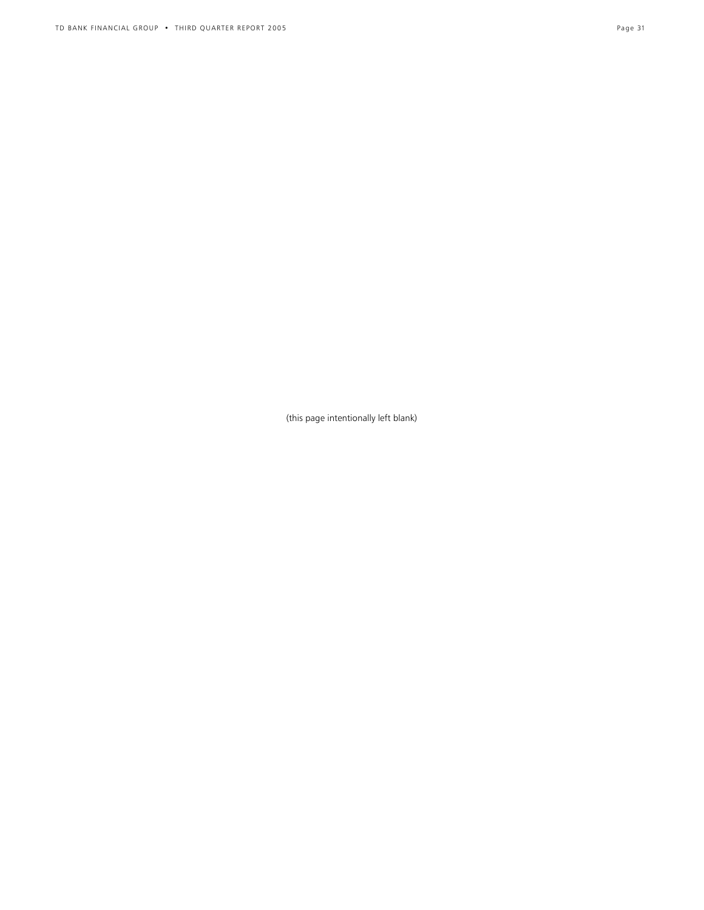(this page intentionally left blank)